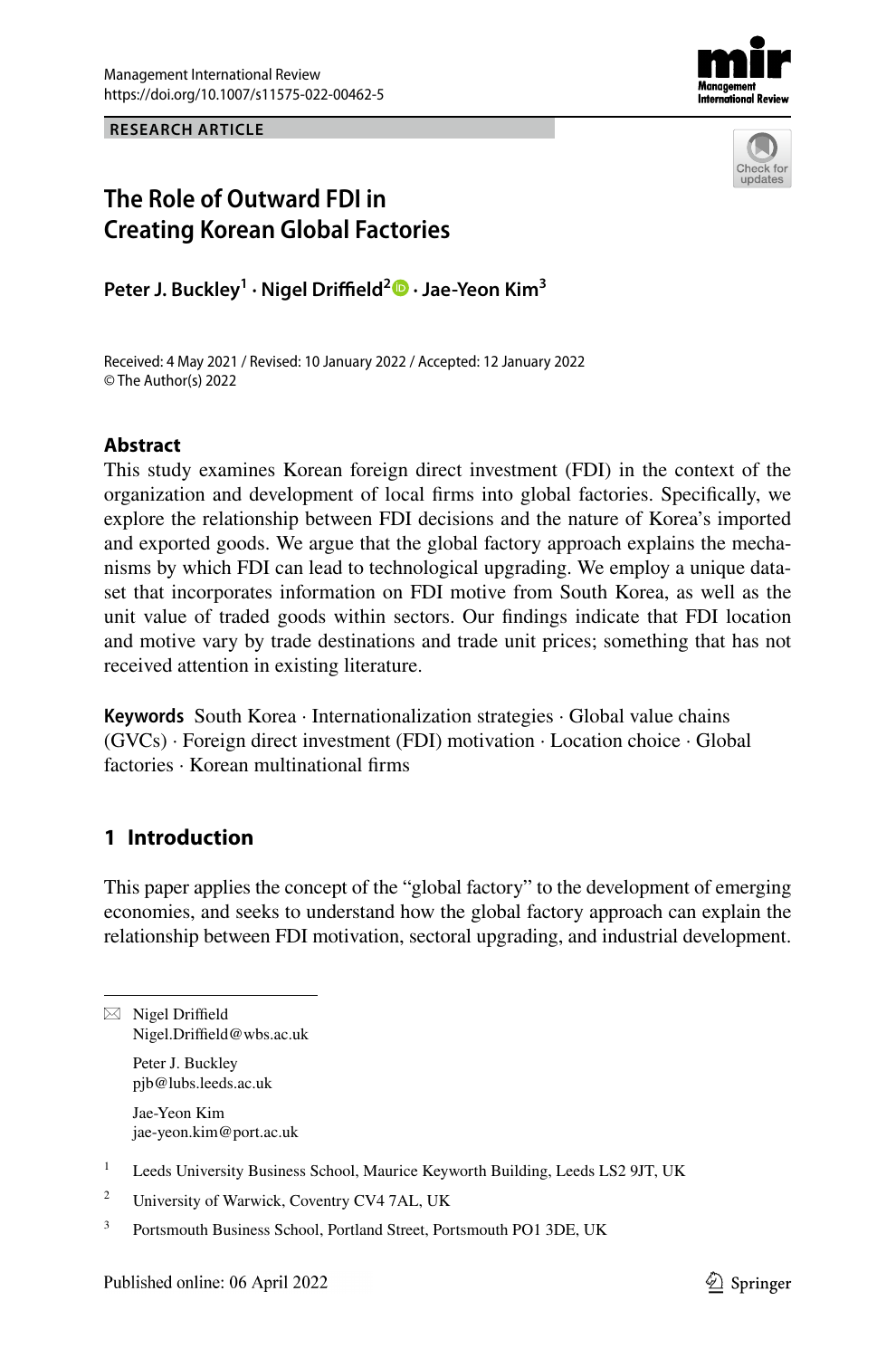**RESEARCH ARTICLE**





## **The Role of Outward FDI in Creating Korean Global Factories**

**Peter J. Buckley1 · Nigel Drifeld2 · Jae‑Yeon Kim3**

Received: 4 May 2021 / Revised: 10 January 2022 / Accepted: 12 January 2022 © The Author(s) 2022

## **Abstract**

This study examines Korean foreign direct investment (FDI) in the context of the organization and development of local frms into global factories. Specifcally, we explore the relationship between FDI decisions and the nature of Korea's imported and exported goods. We argue that the global factory approach explains the mechanisms by which FDI can lead to technological upgrading. We employ a unique data– set that incorporates information on FDI motive from South Korea, as well as the unit value of traded goods within sectors. Our fndings indicate that FDI location and motive vary by trade destinations and trade unit prices; something that has not received attention in existing literature.

**Keywords** South Korea · Internationalization strategies · Global value chains  $(GVCs)$  · Foreign direct investment (FDI) motivation · Location choice · Global factories · Korean multinational frms

## **1 Introduction**

This paper applies the concept of the "global factory" to the development of emerging economies, and seeks to understand how the global factory approach can explain the relationship between FDI motivation, sectoral upgrading, and industrial development.

 $\boxtimes$  Nigel Driffield Nigel.Driffield@wbs.ac.uk Peter J. Buckley

pjb@lubs.leeds.ac.uk

Jae‑Yeon Kim jae-yeon.kim@port.ac.uk

<sup>&</sup>lt;sup>1</sup> Leeds University Business School, Maurice Keyworth Building, Leeds LS2 9JT, UK

<sup>&</sup>lt;sup>2</sup> University of Warwick, Coventry CV4 7AL, UK

<sup>&</sup>lt;sup>3</sup> Portsmouth Business School, Portland Street, Portsmouth PO1 3DE, UK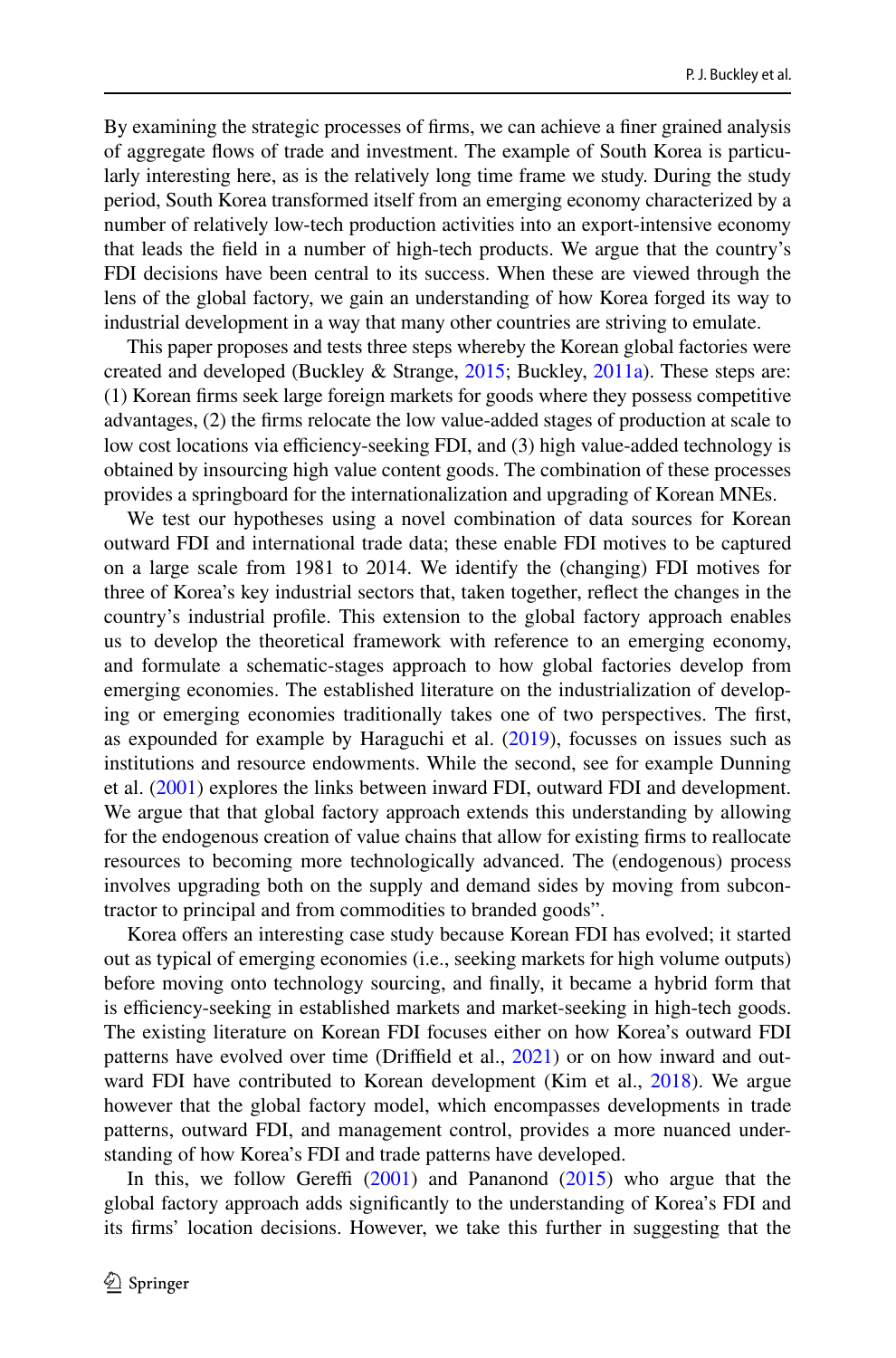By examining the strategic processes of frms, we can achieve a fner grained analysis of aggregate flows of trade and investment. The example of South Korea is particularly interesting here, as is the relatively long time frame we study. During the study period, South Korea transformed itself from an emerging economy characterized by a number of relatively low-tech production activities into an export-intensive economy that leads the feld in a number of high-tech products. We argue that the country's FDI decisions have been central to its success. When these are viewed through the lens of the global factory, we gain an understanding of how Korea forged its way to industrial development in a way that many other countries are striving to emulate.

This paper proposes and tests three steps whereby the Korean global factories were created and developed (Buckley & Strange, 2015; Buckley, 2011a). These steps are: (1) Korean frms seek large foreign markets for goods where they possess competitive advantages, (2) the frms relocate the low value-added stages of production at scale to low cost locations via efficiency-seeking FDI, and (3) high value-added technology is obtained by insourcing high value content goods. The combination of these processes provides a springboard for the internationalization and upgrading of Korean MNEs.

We test our hypotheses using a novel combination of data sources for Korean outward FDI and international trade data; these enable FDI motives to be captured on a large scale from 1981 to 2014. We identify the (changing) FDI motives for three of Korea's key industrial sectors that, taken together, refect the changes in the country's industrial profle. This extension to the global factory approach enables us to develop the theoretical framework with reference to an emerging economy, and formulate a schematic-stages approach to how global factories develop from emerging economies. The established literature on the industrialization of developing or emerging economies traditionally takes one of two perspectives. The frst, as expounded for example by Haraguchi et al. (2019), focusses on issues such as institutions and resource endowments. While the second, see for example Dunning et al. (2001) explores the links between inward FDI, outward FDI and development. We argue that that global factory approach extends this understanding by allowing for the endogenous creation of value chains that allow for existing frms to reallocate resources to becoming more technologically advanced. The (endogenous) process involves upgrading both on the supply and demand sides by moving from subcontractor to principal and from commodities to branded goods".

Korea offers an interesting case study because Korean FDI has evolved; it started out as typical of emerging economies (i.e., seeking markets for high volume outputs) before moving onto technology sourcing, and fnally, it became a hybrid form that is efficiency-seeking in established markets and market-seeking in high-tech goods. The existing literature on Korean FDI focuses either on how Korea's outward FDI patterns have evolved over time (Driffield et al., 2021) or on how inward and outward FDI have contributed to Korean development (Kim et al., 2018). We argue however that the global factory model, which encompasses developments in trade patterns, outward FDI, and management control, provides a more nuanced understanding of how Korea's FDI and trade patterns have developed.

In this, we follow Gereffi  $(2001)$  and Pananond  $(2015)$  who argue that the global factory approach adds signifcantly to the understanding of Korea's FDI and its frms' location decisions. However, we take this further in suggesting that the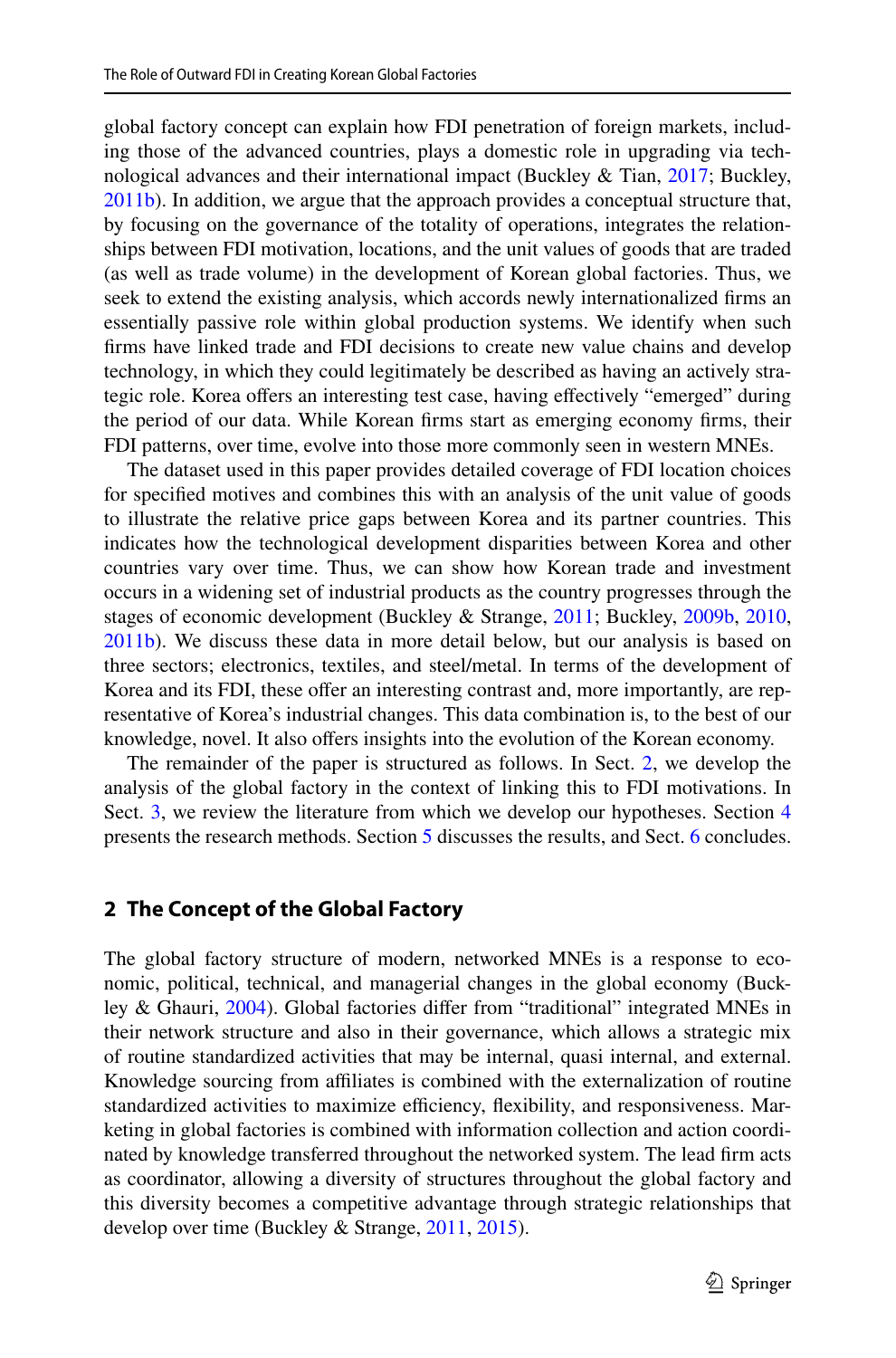global factory concept can explain how FDI penetration of foreign markets, including those of the advanced countries, plays a domestic role in upgrading via technological advances and their international impact (Buckley & Tian, 2017; Buckley, 2011b). In addition, we argue that the approach provides a conceptual structure that, by focusing on the governance of the totality of operations, integrates the relationships between FDI motivation, locations, and the unit values of goods that are traded (as well as trade volume) in the development of Korean global factories. Thus, we seek to extend the existing analysis, which accords newly internationalized frms an essentially passive role within global production systems. We identify when such frms have linked trade and FDI decisions to create new value chains and develop technology, in which they could legitimately be described as having an actively strategic role. Korea offers an interesting test case, having effectively "emerged" during the period of our data. While Korean frms start as emerging economy frms, their FDI patterns, over time, evolve into those more commonly seen in western MNEs.

The dataset used in this paper provides detailed coverage of FDI location choices for specifed motives and combines this with an analysis of the unit value of goods to illustrate the relative price gaps between Korea and its partner countries. This indicates how the technological development disparities between Korea and other countries vary over time. Thus, we can show how Korean trade and investment occurs in a widening set of industrial products as the country progresses through the stages of economic development (Buckley & Strange, 2011; Buckley, 2009b, 2010, 2011b). We discuss these data in more detail below, but our analysis is based on three sectors; electronics, textiles, and steel/metal. In terms of the development of Korea and its FDI, these offer an interesting contrast and, more importantly, are rep resentative of Korea's industrial changes. This data combination is, to the best of our knowledge, novel. It also offers insights into the evolution of the Korean economy.

The remainder of the paper is structured as follows. In Sect. 2, we develop the analysis of the global factory in the context of linking this to FDI motivations. In Sect. 3, we review the literature from which we develop our hypotheses. Section 4 presents the research methods. Section 5 discusses the results, and Sect. 6 concludes.

#### **2 The Concept of the Global Factory**

The global factory structure of modern, networked MNEs is a response to economic, political, technical, and managerial changes in the global economy (Buckley & Ghauri, 2004). Global factories difer from "traditional" integrated MNEs in their network structure and also in their governance, which allows a strategic mix of routine standardized activities that may be internal, quasi internal, and external. Knowledge sourcing from affiliates is combined with the externalization of routine standardized activities to maximize efficiency, flexibility, and responsiveness. Marketing in global factories is combined with information collection and action coordinated by knowledge transferred throughout the networked system. The lead frm acts as coordinator, allowing a diversity of structures throughout the global factory and this diversity becomes a competitive advantage through strategic relationships that develop over time (Buckley & Strange, 2011, 2015).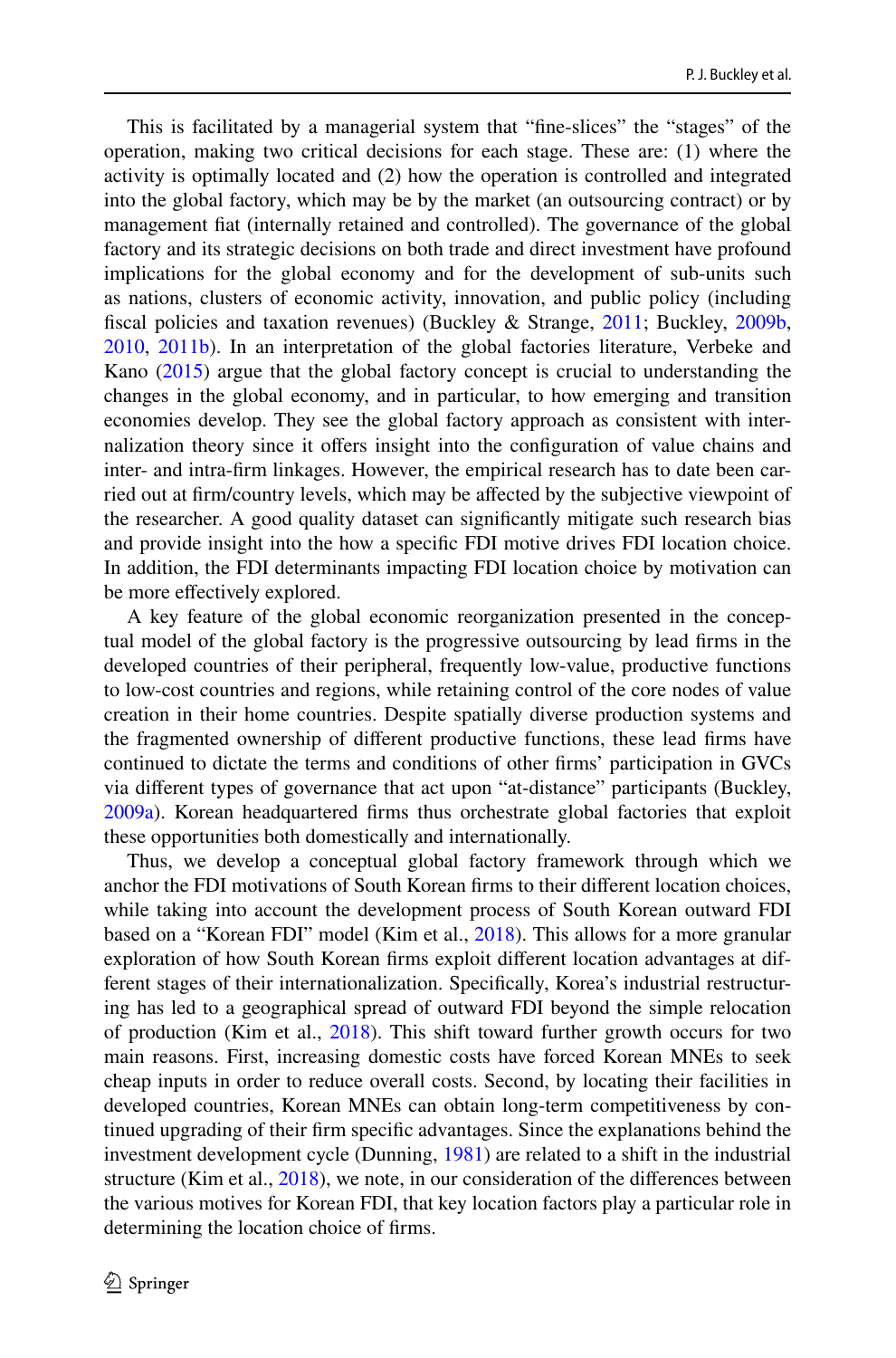This is facilitated by a managerial system that "fne-slices" the "stages" of the operation, making two critical decisions for each stage. These are: (1) where the activity is optimally located and (2) how the operation is controlled and integrated into the global factory, which may be by the market (an outsourcing contract) or by management fat (internally retained and controlled). The governance of the global factory and its strategic decisions on both trade and direct investment have profound implications for the global economy and for the development of sub-units such as nations, clusters of economic activity, innovation, and public policy (including fscal policies and taxation revenues) (Buckley & Strange, 2011; Buckley, 2009b, 2010, 2011b). In an interpretation of the global factories literature, Verbeke and Kano (2015) argue that the global factory concept is crucial to understanding the changes in the global economy, and in particular, to how emerging and transition economies develop. They see the global factory approach as consistent with internalization theory since it ofers insight into the confguration of value chains and inter- and intra-firm linkages. However, the empirical research has to date been carried out at frm/country levels, which may be afected by the subjective viewpoint of the researcher. A good quality dataset can signifcantly mitigate such research bias and provide insight into the how a specifc FDI motive drives FDI location choice. In addition, the FDI determinants impacting FDI location choice by motivation can be more efectively explored.

A key feature of the global economic reorganization presented in the conceptual model of the global factory is the progressive outsourcing by lead frms in the developed countries of their peripheral, frequently low-value, productive functions to low-cost countries and regions, while retaining control of the core nodes of value creation in their home countries. Despite spatially diverse production systems and the fragmented ownership of diferent productive functions, these lead frms have continued to dictate the terms and conditions of other frms' participation in GVCs via diferent types of governance that act upon "at-distance" participants (Buckley, 2009a). Korean headquartered frms thus orchestrate global factories that exploit these opportunities both domestically and internationally.

Thus, we develop a conceptual global factory framework through which we anchor the FDI motivations of South Korean frms to their diferent location choices, while taking into account the development process of South Korean outward FDI based on a "Korean FDI" model (Kim et al., 2018). This allows for a more granular exploration of how South Korean firms exploit different location advantages at different stages of their internationalization. Specifically, Korea's industrial restructuring has led to a geographical spread of outward FDI beyond the simple relocation of production (Kim et al., 2018). This shift toward further growth occurs for two main reasons. First, increasing domestic costs have forced Korean MNEs to seek cheap inputs in order to reduce overall costs. Second, by locating their facilities in developed countries, Korean MNEs can obtain long-term competitiveness by continued upgrading of their frm specifc advantages. Since the explanations behind the investment development cycle (Dunning, 1981) are related to a shift in the industrial structure (Kim et al., 2018), we note, in our consideration of the diferences between the various motives for Korean FDI, that key location factors play a particular role in determining the location choice of frms.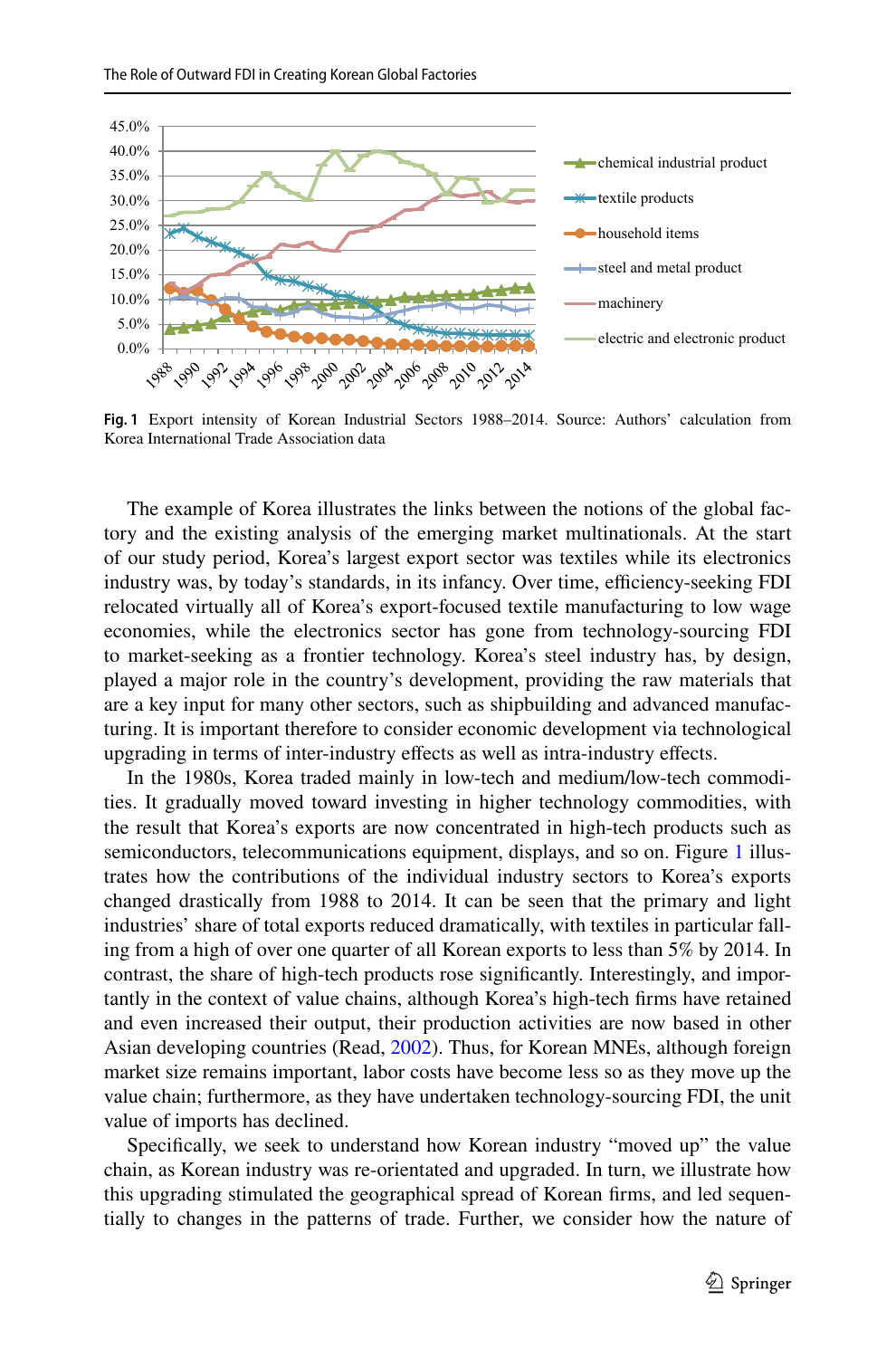

**Fig. 1** Export intensity of Korean Industrial Sectors 1988–2014. Source: Authors' calculation from Korea International Trade Association data

The example of Korea illustrates the links between the notions of the global factory and the existing analysis of the emerging market multinationals. At the start of our study period, Korea's largest export sector was textiles while its electronics industry was, by today's standards, in its infancy. Over time, efficiency-seeking FDI relocated virtually all of Korea's export-focused textile manufacturing to low wage economies, while the electronics sector has gone from technology-sourcing FDI to market-seeking as a frontier technology. Korea's steel industry has, by design, played a major role in the country's development, providing the raw materials that are a key input for many other sectors, such as shipbuilding and advanced manufacturing. It is important therefore to consider economic development via technological upgrading in terms of inter-industry efects as well as intra-industry efects.

In the 1980s, Korea traded mainly in low-tech and medium/low-tech commodities. It gradually moved toward investing in higher technology commodities, with the result that Korea's exports are now concentrated in high-tech products such as semiconductors, telecommunications equipment, displays, and so on. Figure 1 illustrates how the contributions of the individual industry sectors to Korea's exports changed drastically from 1988 to 2014. It can be seen that the primary and light industries' share of total exports reduced dramatically, with textiles in particular fall‑ ing from a high of over one quarter of all Korean exports to less than 5% by 2014. In contrast, the share of high-tech products rose significantly. Interestingly, and importantly in the context of value chains, although Korea's high-tech frms have retained and even increased their output, their production activities are now based in other Asian developing countries (Read, 2002). Thus, for Korean MNEs, although foreign market size remains important, labor costs have become less so as they move up the value chain; furthermore, as they have undertaken technology-sourcing FDI, the unit value of imports has declined.

Specifcally, we seek to understand how Korean industry "moved up" the value chain, as Korean industry was re-orientated and upgraded. In turn, we illustrate how this upgrading stimulated the geographical spread of Korean firms, and led sequentially to changes in the patterns of trade. Further, we consider how the nature of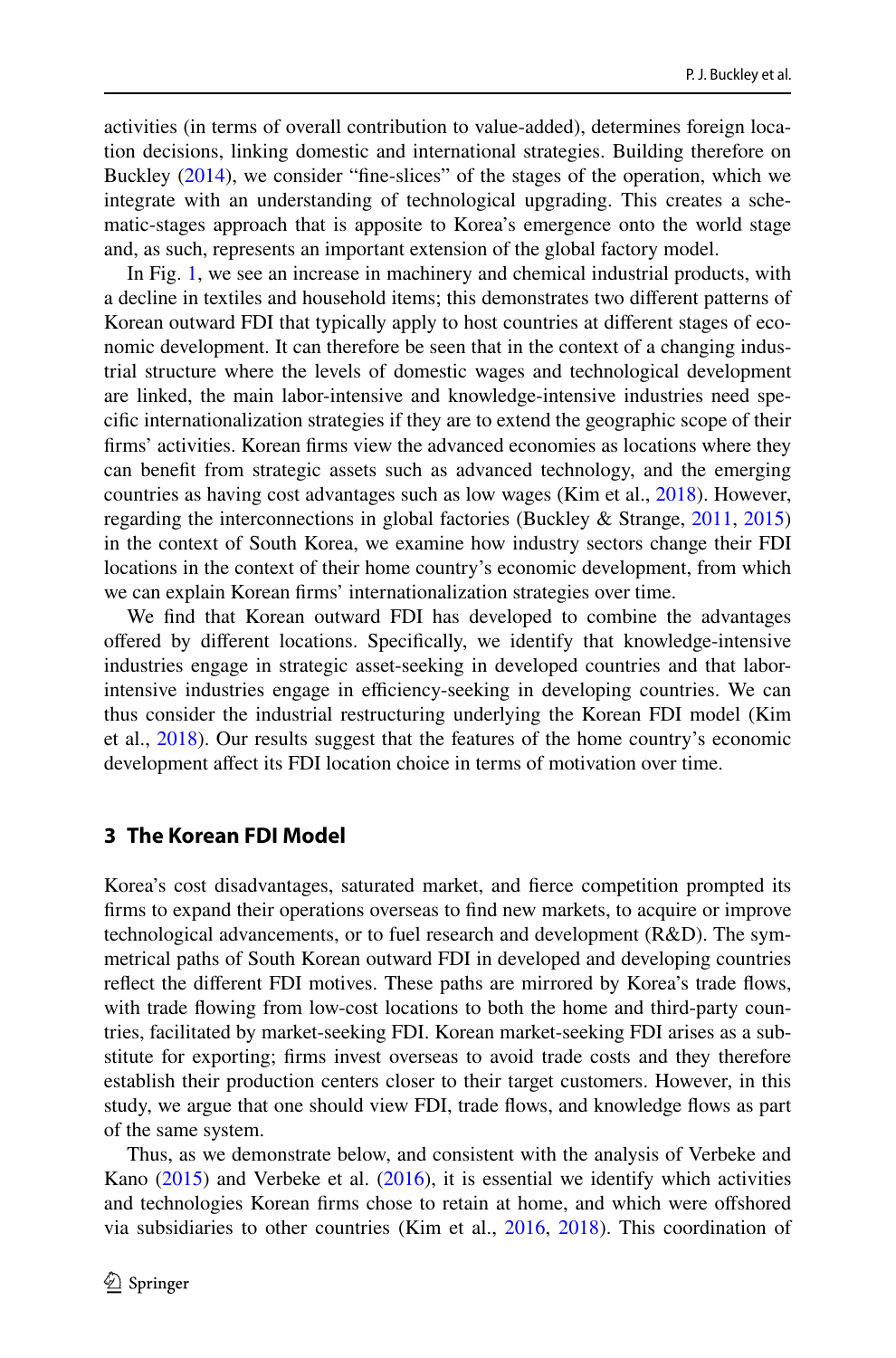activities (in terms of overall contribution to value-added), determines foreign location decisions, linking domestic and international strategies. Building therefore on Buckley (2014), we consider "fne-slices" of the stages of the operation, which we integrate with an understanding of technological upgrading. This creates a schematic-stages approach that is apposite to Korea's emergence onto the world stage and, as such, represents an important extension of the global factory model.

In Fig. 1, we see an increase in machinery and chemical industrial products, with a decline in textiles and household items; this demonstrates two diferent patterns of Korean outward FDI that typically apply to host countries at different stages of economic development. It can therefore be seen that in the context of a changing industrial structure where the levels of domestic wages and technological development are linked, the main labor-intensive and knowledge-intensive industries need specifc internationalization strategies if they are to extend the geographic scope of their frms' activities. Korean frms view the advanced economies as locations where they can beneft from strategic assets such as advanced technology, and the emerging countries as having cost advantages such as low wages (Kim et al., 2018). However, regarding the interconnections in global factories (Buckley & Strange, 2011, 2015) in the context of South Korea, we examine how industry sectors change their FDI locations in the context of their home country's economic development, from which we can explain Korean frms' internationalization strategies over time.

We fnd that Korean outward FDI has developed to combine the advantages offered by different locations. Specifically, we identify that knowledge-intensive industries engage in strategic asset-seeking in developed countries and that laborintensive industries engage in efficiency-seeking in developing countries. We can thus consider the industrial restructuring underlying the Korean FDI model (Kim et al., 2018). Our results suggest that the features of the home country's economic development afect its FDI location choice in terms of motivation over time.

#### **3 The Korean FDI Model**

Korea's cost disadvantages, saturated market, and ferce competition prompted its frms to expand their operations overseas to fnd new markets, to acquire or improve technological advancements, or to fuel research and development (R&D). The sym‑ metrical paths of South Korean outward FDI in developed and developing countries refect the diferent FDI motives. These paths are mirrored by Korea's trade fows, with trade flowing from low-cost locations to both the home and third-party countries, facilitated by market-seeking FDI. Korean market-seeking FDI arises as a sub‑ stitute for exporting; frms invest overseas to avoid trade costs and they therefore establish their production centers closer to their target customers. However, in this study, we argue that one should view FDI, trade flows, and knowledge flows as part of the same system.

Thus, as we demonstrate below, and consistent with the analysis of Verbeke and Kano  $(2015)$  and Verbeke et al.  $(2016)$ , it is essential we identify which activities and technologies Korean frms chose to retain at home, and which were ofshored via subsidiaries to other countries (Kim et al., 2016, 2018). This coordination of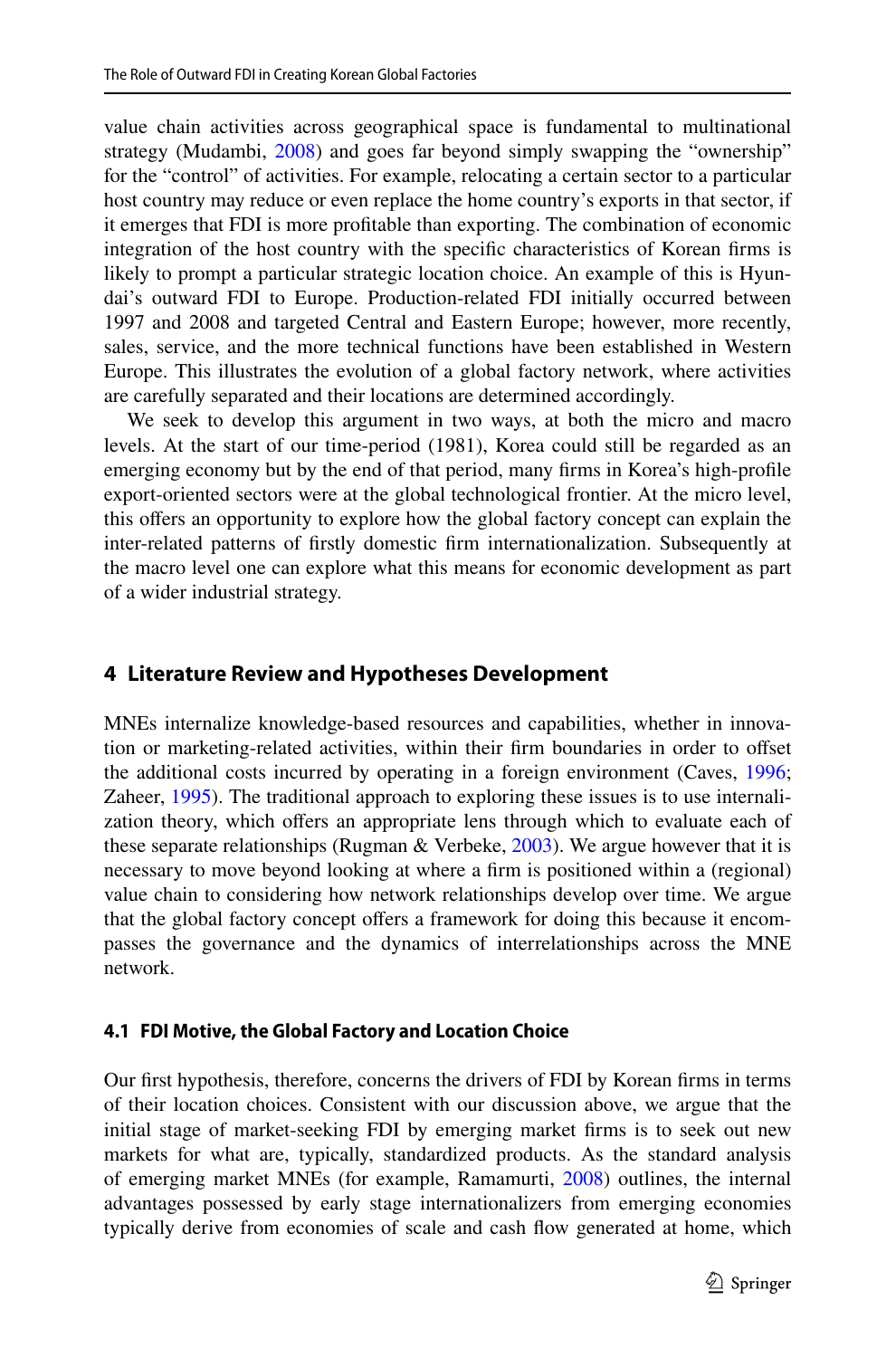value chain activities across geographical space is fundamental to multinational strategy (Mudambi, 2008) and goes far beyond simply swapping the "ownership" for the "control" of activities. For example, relocating a certain sector to a particular host country may reduce or even replace the home country's exports in that sector, if it emerges that FDI is more proftable than exporting. The combination of economic integration of the host country with the specifc characteristics of Korean frms is likely to prompt a particular strategic location choice. An example of this is Hyun– dai's outward FDI to Europe. Production-related FDI initially occurred between 1997 and 2008 and targeted Central and Eastern Europe; however, more recently, sales, service, and the more technical functions have been established in Western Europe. This illustrates the evolution of a global factory network, where activities are carefully separated and their locations are determined accordingly.

We seek to develop this argument in two ways, at both the micro and macro levels. At the start of our time-period (1981), Korea could still be regarded as an emerging economy but by the end of that period, many frms in Korea's high-profle export-oriented sectors were at the global technological frontier. At the micro level, this ofers an opportunity to explore how the global factory concept can explain the inter-related patterns of frstly domestic frm internationalization. Subsequently at the macro level one can explore what this means for economic development as part of a wider industrial strategy.

### **4 Literature Review and Hypotheses Development**

MNEs internalize knowledge-based resources and capabilities, whether in innovation or marketing-related activities, within their frm boundaries in order to ofset the additional costs incurred by operating in a foreign environment (Caves, 1996; Zaheer, 1995). The traditional approach to exploring these issues is to use internalization theory, which offers an appropriate lens through which to evaluate each of these separate relationships (Rugman & Verbeke, 2003). We argue however that it is necessary to move beyond looking at where a frm is positioned within a (regional) value chain to considering how network relationships develop over time. We argue that the global factory concept offers a framework for doing this because it encompasses the governance and the dynamics of interrelationships across the MNE network.

#### **4.1 FDI Motive, the Global Factory and Location Choice**

Our frst hypothesis, therefore, concerns the drivers of FDI by Korean frms in terms of their location choices. Consistent with our discussion above, we argue that the initial stage of market-seeking FDI by emerging market frms is to seek out new markets for what are, typically, standardized products. As the standard analysis of emerging market MNEs (for example, Ramamurti, 2008) outlines, the internal advantages possessed by early stage internationalizers from emerging economies typically derive from economies of scale and cash fow generated at home, which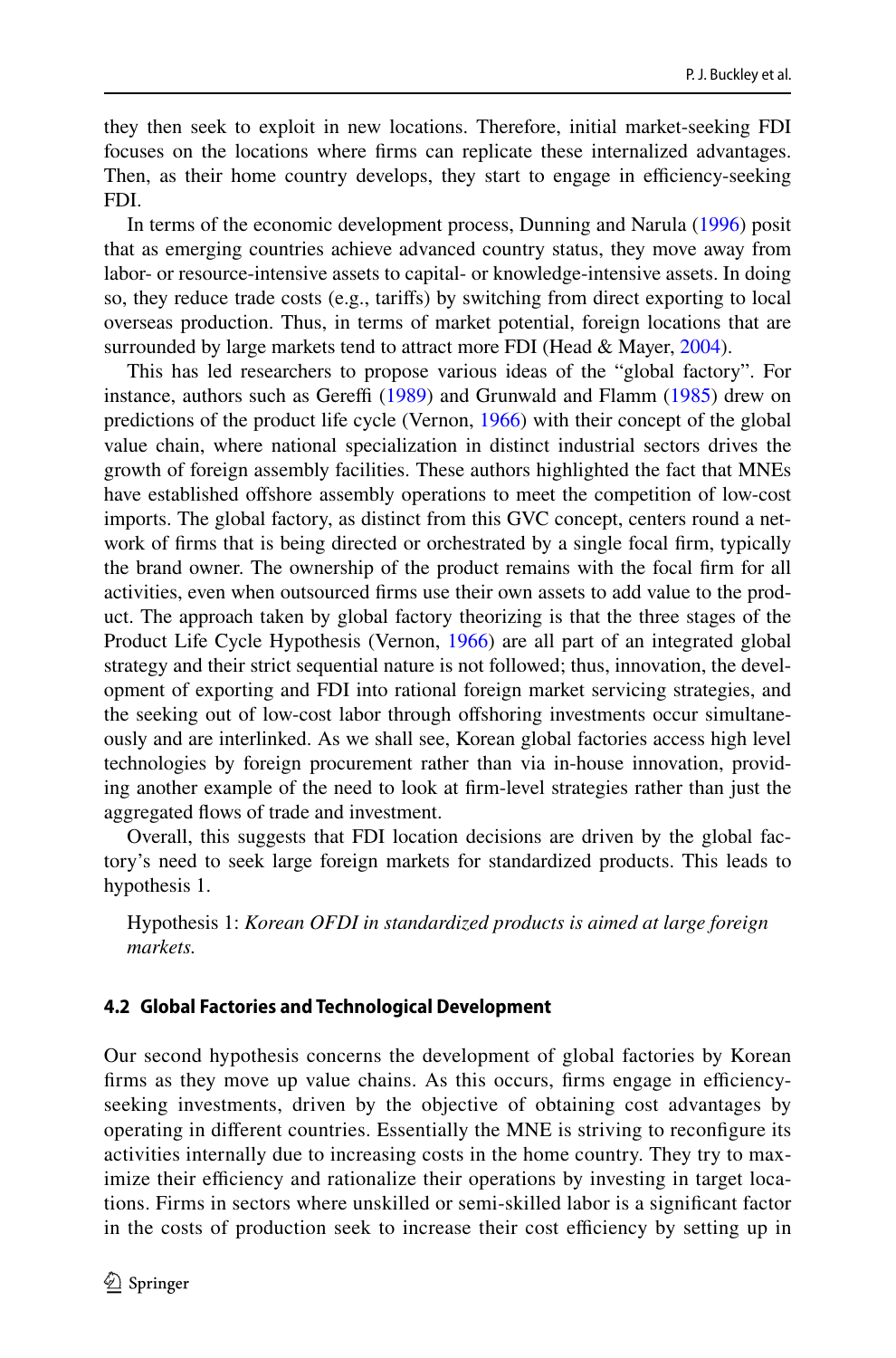they then seek to exploit in new locations. Therefore, initial market-seeking FDI focuses on the locations where frms can replicate these internalized advantages. Then, as their home country develops, they start to engage in efficiency-seeking FDI.

In terms of the economic development process, Dunning and Narula (1996) posit that as emerging countries achieve advanced country status, they move away from labor- or resource-intensive assets to capital- or knowledge-intensive assets. In doing so, they reduce trade costs (e.g., tarifs) by switching from direct exporting to local overseas production. Thus, in terms of market potential, foreign locations that are surrounded by large markets tend to attract more FDI (Head & Mayer, 2004).

This has led researchers to propose various ideas of the "global factory". For instance, authors such as Gereffi  $(1989)$  and Grunwald and Flamm  $(1985)$  drew on predictions of the product life cycle (Vernon, 1966) with their concept of the global value chain, where national specialization in distinct industrial sectors drives the growth of foreign assembly facilities. These authors highlighted the fact that MNEs have established offshore assembly operations to meet the competition of low-cost imports. The global factory, as distinct from this GVC concept, centers round a network of frms that is being directed or orchestrated by a single focal frm, typically the brand owner. The ownership of the product remains with the focal frm for all activities, even when outsourced firms use their own assets to add value to the product. The approach taken by global factory theorizing is that the three stages of the Product Life Cycle Hypothesis (Vernon, 1966) are all part of an integrated global strategy and their strict sequential nature is not followed; thus, innovation, the development of exporting and FDI into rational foreign market servicing strategies, and the seeking out of low-cost labor through offshoring investments occur simultane– ously and are interlinked. As we shall see, Korean global factories access high level technologies by foreign procurement rather than via in-house innovation, provid‑ ing another example of the need to look at frm-level strategies rather than just the aggregated fows of trade and investment.

Overall, this suggests that FDI location decisions are driven by the global factory's need to seek large foreign markets for standardized products. This leads to hypothesis 1.

Hypothesis 1: *Korean OFDI in standardized products is aimed at large foreign markets.*

#### **4.2 Global Factories and Technological Development**

Our second hypothesis concerns the development of global factories by Korean firms as they move up value chains. As this occurs, firms engage in efficiencyseeking investments, driven by the objective of obtaining cost advantages by operating in diferent countries. Essentially the MNE is striving to reconfgure its activities internally due to increasing costs in the home country. They try to max– imize their efficiency and rationalize their operations by investing in target locations. Firms in sectors where unskilled or semi-skilled labor is a signifcant factor in the costs of production seek to increase their cost efficiency by setting up in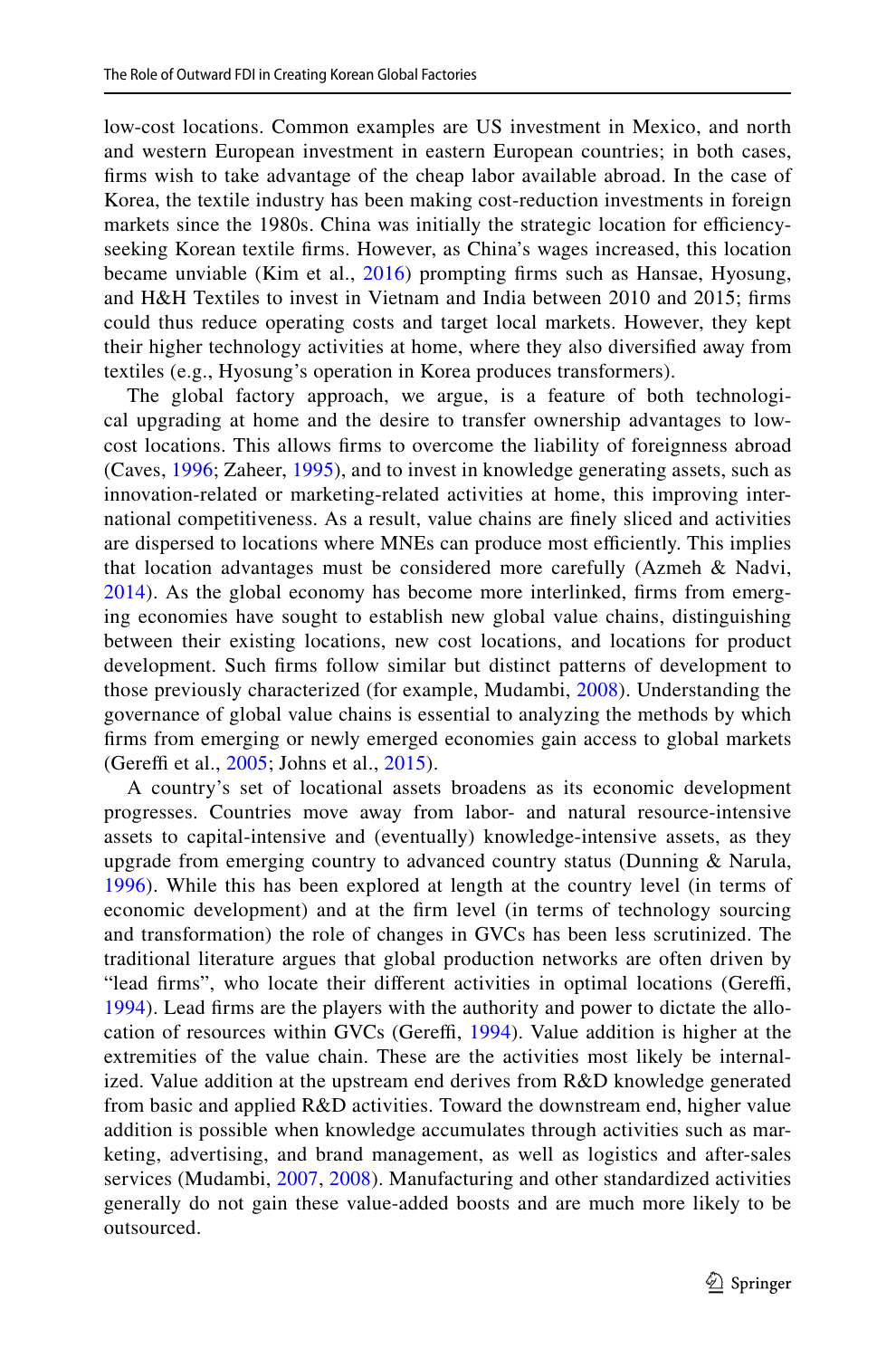low-cost locations. Common examples are US investment in Mexico, and north and western European investment in eastern European countries; in both cases, frms wish to take advantage of the cheap labor available abroad. In the case of Korea, the textile industry has been making cost-reduction investments in foreign markets since the 1980s. China was initially the strategic location for efficiencyseeking Korean textile frms. However, as China's wages increased, this location became unviable (Kim et al., 2016) prompting frms such as Hansae, Hyosung, and H&H Textiles to invest in Vietnam and India between 2010 and 2015; frms could thus reduce operating costs and target local markets. However, they kept their higher technology activities at home, where they also diversifed away from textiles (e.g., Hyosung's operation in Korea produces transformers).

The global factory approach, we argue, is a feature of both technological upgrading at home and the desire to transfer ownership advantages to lowcost locations. This allows frms to overcome the liability of foreignness abroad (Caves, 1996; Zaheer, 1995), and to invest in knowledge generating assets, such as innovation-related or marketing-related activities at home, this improving international competitiveness. As a result, value chains are fnely sliced and activities are dispersed to locations where MNEs can produce most efficiently. This implies that location advantages must be considered more carefully (Azmeh & Nadvi, 2014). As the global economy has become more interlinked, firms from emerging economies have sought to establish new global value chains, distinguishing between their existing locations, new cost locations, and locations for product development. Such frms follow similar but distinct patterns of development to those previously characterized (for example, Mudambi, 2008). Understanding the governance of global value chains is essential to analyzing the methods by which frms from emerging or newly emerged economies gain access to global markets (Gereffi et al.,  $2005$ ; Johns et al.,  $2015$ ).

A country's set of locational assets broadens as its economic development progresses. Countries move away from labor- and natural resource-intensive assets to capital-intensive and (eventually) knowledge-intensive assets, as they upgrade from emerging country to advanced country status (Dunning & Narula, 1996). While this has been explored at length at the country level (in terms of economic development) and at the frm level (in terms of technology sourcing and transformation) the role of changes in GVCs has been less scrutinized. The traditional literature argues that global production networks are often driven by "lead firms", who locate their different activities in optimal locations (Gereffi, 1994). Lead firms are the players with the authority and power to dictate the allocation of resources within GVCs (Gereffi, 1994). Value addition is higher at the extremities of the value chain. These are the activities most likely be internal– ized. Value addition at the upstream end derives from R&D knowledge generated from basic and applied R&D activities. Toward the downstream end, higher value addition is possible when knowledge accumulates through activities such as marketing, advertising, and brand management, as well as logistics and after-sales services (Mudambi, 2007, 2008). Manufacturing and other standardized activities generally do not gain these value-added boosts and are much more likely to be outsourced.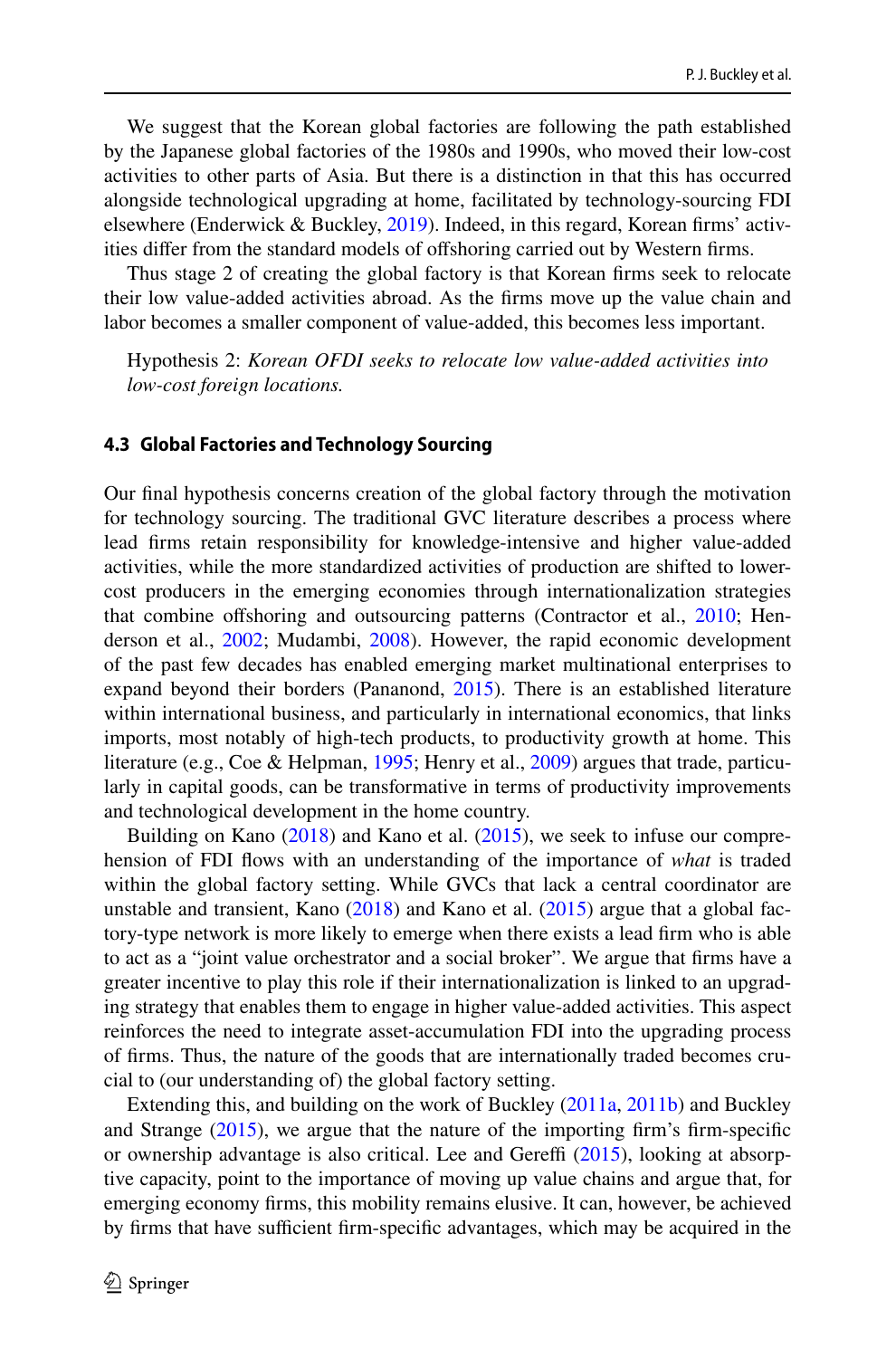We suggest that the Korean global factories are following the path established by the Japanese global factories of the 1980s and 1990s, who moved their low-cost activities to other parts of Asia. But there is a distinction in that this has occurred alongside technological upgrading at home, facilitated by technology-sourcing FDI elsewhere (Enderwick & Buckley, 2019). Indeed, in this regard, Korean firms' activities difer from the standard models of ofshoring carried out by Western frms.

Thus stage 2 of creating the global factory is that Korean frms seek to relocate their low value-added activities abroad. As the frms move up the value chain and labor becomes a smaller component of value-added, this becomes less important.

Hypothesis 2: *Korean OFDI seeks to relocate low value-added activities into low-cost foreign locations.*

#### **4.3 Global Factories and Technology Sourcing**

Our fnal hypothesis concerns creation of the global factory through the motivation for technology sourcing. The traditional GVC literature describes a process where lead frms retain responsibility for knowledge-intensive and higher value-added activities, while the more standardized activities of production are shifted to lowercost producers in the emerging economies through internationalization strategies that combine offshoring and outsourcing patterns (Contractor et al., 2010; Henderson et al., 2002; Mudambi, 2008). However, the rapid economic development of the past few decades has enabled emerging market multinational enterprises to expand beyond their borders (Pananond, 2015). There is an established literature within international business, and particularly in international economics, that links imports, most notably of high-tech products, to productivity growth at home. This literature (e.g., Coe & Helpman, 1995; Henry et al., 2009) argues that trade, particularly in capital goods, can be transformative in terms of productivity improvements and technological development in the home country.

Building on Kano (2018) and Kano et al. (2015), we seek to infuse our comprehension of FDI fows with an understanding of the importance of *what* is traded within the global factory setting. While GVCs that lack a central coordinator are unstable and transient, Kano  $(2018)$  and Kano et al.  $(2015)$  argue that a global factory-type network is more likely to emerge when there exists a lead frm who is able to act as a "joint value orchestrator and a social broker". We argue that frms have a greater incentive to play this role if their internationalization is linked to an upgrading strategy that enables them to engage in higher value-added activities. This aspect reinforces the need to integrate asset-accumulation FDI into the upgrading process of firms. Thus, the nature of the goods that are internationally traded becomes crucial to (our understanding of) the global factory setting.

Extending this, and building on the work of Buckley (2011a, 2011b) and Buckley and Strange  $(2015)$ , we argue that the nature of the importing firm's firm-specific or ownership advantage is also critical. Lee and Gereffi  $(2015)$ , looking at absorptive capacity, point to the importance of moving up value chains and argue that, for emerging economy frms, this mobility remains elusive. It can, however, be achieved by firms that have sufficient firm-specific advantages, which may be acquired in the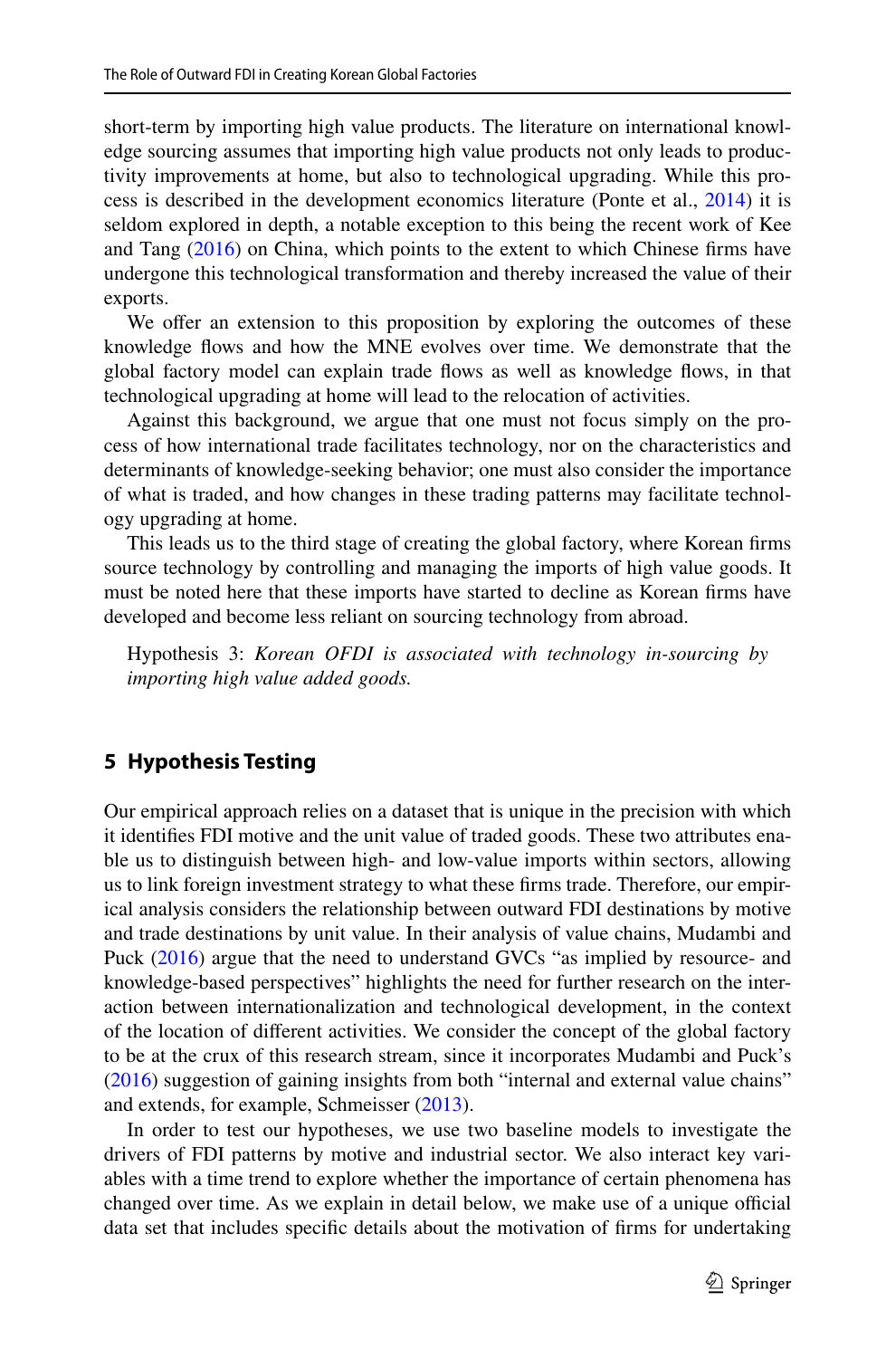short-term by importing high value products. The literature on international knowledge sourcing assumes that importing high value products not only leads to productivity improvements at home, but also to technological upgrading. While this process is described in the development economics literature (Ponte et al., 2014) it is seldom explored in depth, a notable exception to this being the recent work of Kee and Tang (2016) on China, which points to the extent to which Chinese frms have undergone this technological transformation and thereby increased the value of their exports.

We offer an extension to this proposition by exploring the outcomes of these knowledge flows and how the MNE evolves over time. We demonstrate that the global factory model can explain trade fows as well as knowledge fows, in that technological upgrading at home will lead to the relocation of activities.

Against this background, we argue that one must not focus simply on the process of how international trade facilitates technology, nor on the characteristics and determinants of knowledge-seeking behavior; one must also consider the importance of what is traded, and how changes in these trading patterns may facilitate technology upgrading at home.

This leads us to the third stage of creating the global factory, where Korean frms source technology by controlling and managing the imports of high value goods. It must be noted here that these imports have started to decline as Korean frms have developed and become less reliant on sourcing technology from abroad.

Hypothesis 3: *Korean OFDI is associated with technology in-sourcing by importing high value added goods.*

## **5 Hypothesis Testing**

Our empirical approach relies on a dataset that is unique in the precision with which it identifies FDI motive and the unit value of traded goods. These two attributes enable us to distinguish between high- and low-value imports within sectors, allowing us to link foreign investment strategy to what these firms trade. Therefore, our empirical analysis considers the relationship between outward FDI destinations by motive and trade destinations by unit value. In their analysis of value chains, Mudambi and Puck (2016) argue that the need to understand GVCs "as implied by resource- and knowledge-based perspectives" highlights the need for further research on the interaction between internationalization and technological development, in the context of the location of diferent activities. We consider the concept of the global factory to be at the crux of this research stream, since it incorporates Mudambi and Puck's (2016) suggestion of gaining insights from both "internal and external value chains" and extends, for example, Schmeisser (2013).

In order to test our hypotheses, we use two baseline models to investigate the drivers of FDI patterns by motive and industrial sector. We also interact key variables with a time trend to explore whether the importance of certain phenomena has changed over time. As we explain in detail below, we make use of a unique official data set that includes specifc details about the motivation of frms for undertaking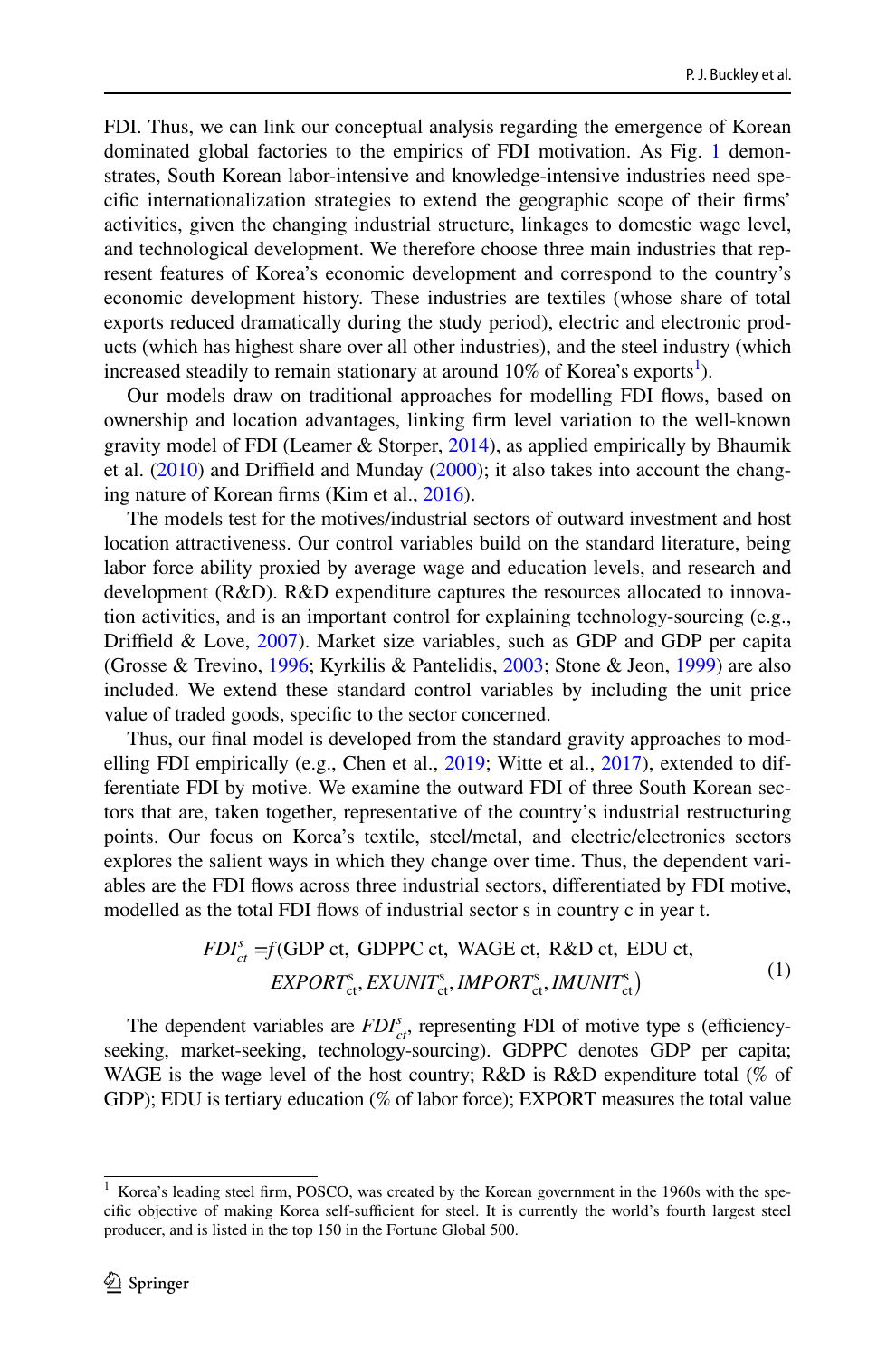FDI. Thus, we can link our conceptual analysis regarding the emergence of Korean dominated global factories to the empirics of FDI motivation. As Fig. 1 demonstrates, South Korean labor-intensive and knowledge-intensive industries need specifc internationalization strategies to extend the geographic scope of their frms' activities, given the changing industrial structure, linkages to domestic wage level, and technological development. We therefore choose three main industries that represent features of Korea's economic development and correspond to the country's economic development history. These industries are textiles (whose share of total exports reduced dramatically during the study period), electric and electronic prod– ucts (which has highest share over all other industries), and the steel industry (which increased steadily to remain stationary at around  $10\%$  of Korea's exports<sup>1</sup>).

Our models draw on traditional approaches for modelling FDI fows, based on ownership and location advantages, linking frm level variation to the well-known gravity model of FDI (Leamer & Storper, 2014), as applied empirically by Bhaumik et al.  $(2010)$  and Driffield and Munday  $(2000)$ ; it also takes into account the changing nature of Korean frms (Kim et al., 2016).

The models test for the motives/industrial sectors of outward investment and host location attractiveness. Our control variables build on the standard literature, being labor force ability proxied by average wage and education levels, and research and development (R&D). R&D expenditure captures the resources allocated to innovation activities, and is an important control for explaining technology-sourcing (e.g., Drifeld & Love, 2007). Market size variables, such as GDP and GDP per capita (Grosse & Trevino, 1996; Kyrkilis & Pantelidis, 2003; Stone & Jeon, 1999) are also included. We extend these standard control variables by including the unit price value of traded goods, specifc to the sector concerned.

Thus, our final model is developed from the standard gravity approaches to modelling FDI empirically (e.g., Chen et al.,  $2019$ ; Witte et al.,  $2017$ ), extended to differentiate FDI by motive. We examine the outward FDI of three South Korean sec‑ tors that are, taken together, representative of the country's industrial restructuring points. Our focus on Korea's textile, steel/metal, and electric/electronics sectors explores the salient ways in which they change over time. Thus, the dependent variables are the FDI fows across three industrial sectors, diferentiated by FDI motive, modelled as the total FDI flows of industrial sector s in country c in year t.

$$
FDI_{ct}^{s} = f(GDP \text{ ct, GDPPC ct, WAGE ct, R&D ct, EDU ct,}
$$
  
 
$$
EXPORT_{ct}^{s}, EXUNIT_{ct}^{s}, IMPORT_{ct}^{s}, IMUNIT_{ct}^{s})
$$
 (1)

The dependent variables are  $FDI^s_{ct}$ , representing FDI of motive type s (efficiencyseeking, market-seeking, technology-sourcing). GDPPC denotes GDP per capita; WAGE is the wage level of the host country; R&D is R&D expenditure total (% of GDP); EDU is tertiary education (% of labor force); EXPORT measures the total value

Korea's leading steel firm, POSCO, was created by the Korean government in the 1960s with the specific objective of making Korea self-sufficient for steel. It is currently the world's fourth largest steel producer, and is listed in the top 150 in the Fortune Global 500.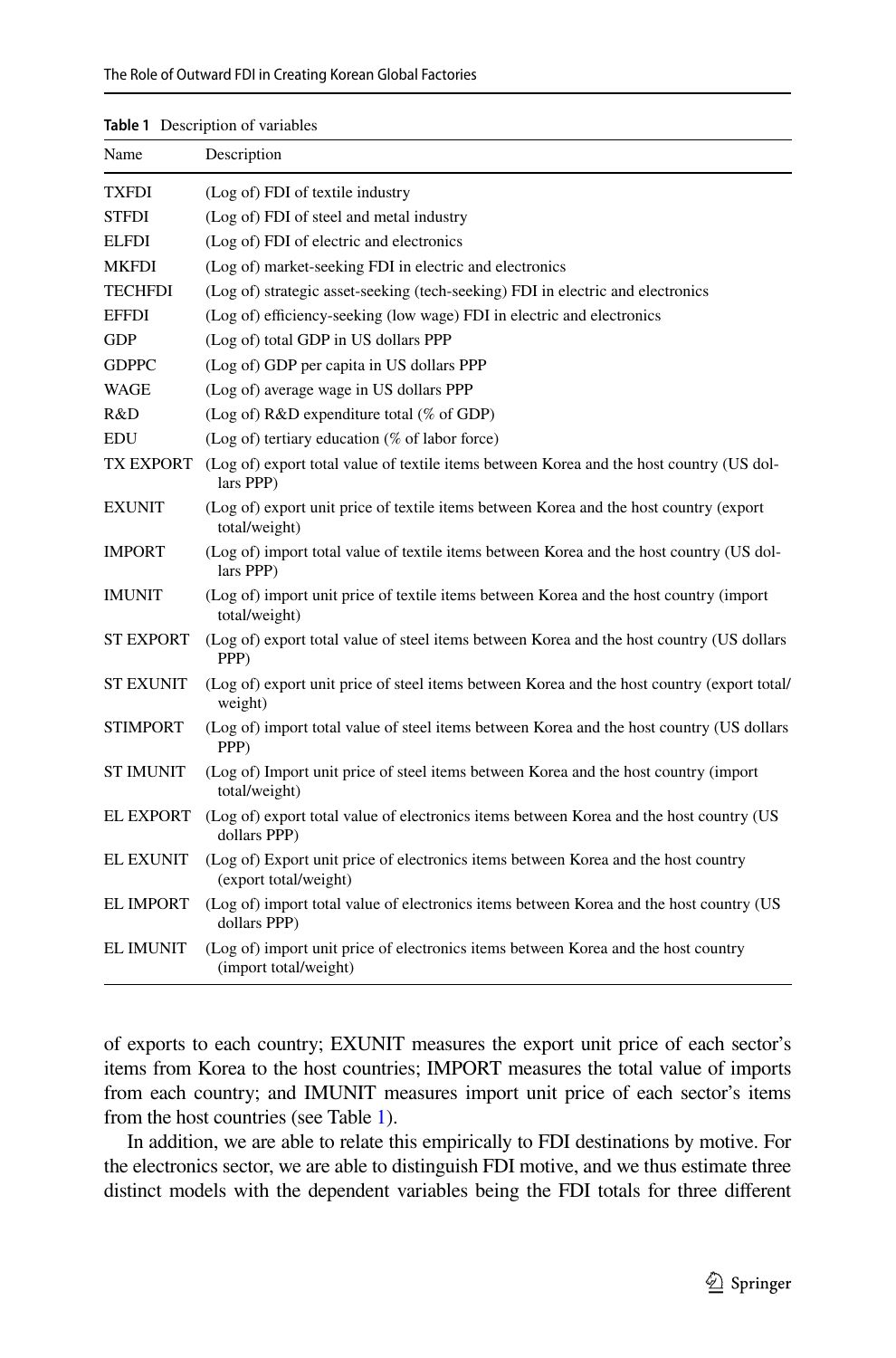| Name             | Description                                                                                                 |
|------------------|-------------------------------------------------------------------------------------------------------------|
| TXFDI            | (Log of) FDI of textile industry                                                                            |
| <b>STFDI</b>     | (Log of) FDI of steel and metal industry                                                                    |
| <b>ELFDI</b>     | (Log of) FDI of electric and electronics                                                                    |
| <b>MKFDI</b>     | (Log of) market-seeking FDI in electric and electronics                                                     |
| <b>TECHFDI</b>   | (Log of) strategic asset-seeking (tech-seeking) FDI in electric and electronics                             |
| <b>EFFDI</b>     | (Log of) efficiency-seeking (low wage) FDI in electric and electronics                                      |
| <b>GDP</b>       | (Log of) total GDP in US dollars PPP                                                                        |
| <b>GDPPC</b>     | (Log of) GDP per capita in US dollars PPP                                                                   |
| WAGE             | (Log of) average wage in US dollars PPP                                                                     |
| R&D              | (Log of) R&D expenditure total (% of GDP)                                                                   |
| <b>EDU</b>       | (Log of) tertiary education (% of labor force)                                                              |
| TX EXPORT        | (Log of) export total value of textile items between Korea and the host country (US dol-<br>lars PPP)       |
| <b>EXUNIT</b>    | (Log of) export unit price of textile items between Korea and the host country (export<br>total/weight)     |
| <b>IMPORT</b>    | (Log of) import total value of textile items between Korea and the host country (US dol-<br>lars PPP)       |
| <b>IMUNIT</b>    | (Log of) import unit price of textile items between Korea and the host country (import<br>total/weight)     |
| <b>ST EXPORT</b> | (Log of) export total value of steel items between Korea and the host country (US dollars<br>PPP)           |
| <b>ST EXUNIT</b> | (Log of) export unit price of steel items between Korea and the host country (export total/<br>weight)      |
| <b>STIMPORT</b>  | (Log of) import total value of steel items between Korea and the host country (US dollars<br>PPP)           |
| <b>ST IMUNIT</b> | (Log of) Import unit price of steel items between Korea and the host country (import<br>total/weight)       |
| <b>EL EXPORT</b> | (Log of) export total value of electronics items between Korea and the host country (US<br>dollars PPP)     |
| <b>EL EXUNIT</b> | (Log of) Export unit price of electronics items between Korea and the host country<br>(export total/weight) |
| <b>EL IMPORT</b> | (Log of) import total value of electronics items between Korea and the host country (US<br>dollars PPP)     |
| <b>EL IMUNIT</b> | (Log of) import unit price of electronics items between Korea and the host country<br>(import total/weight) |

**Table 1** Description of variables

of exports to each country; EXUNIT measures the export unit price of each sector's items from Korea to the host countries; IMPORT measures the total value of imports from each country; and IMUNIT measures import unit price of each sector's items from the host countries (see Table 1).

In addition, we are able to relate this empirically to FDI destinations by motive. For the electronics sector, we are able to distinguish FDI motive, and we thus estimate three distinct models with the dependent variables being the FDI totals for three diferent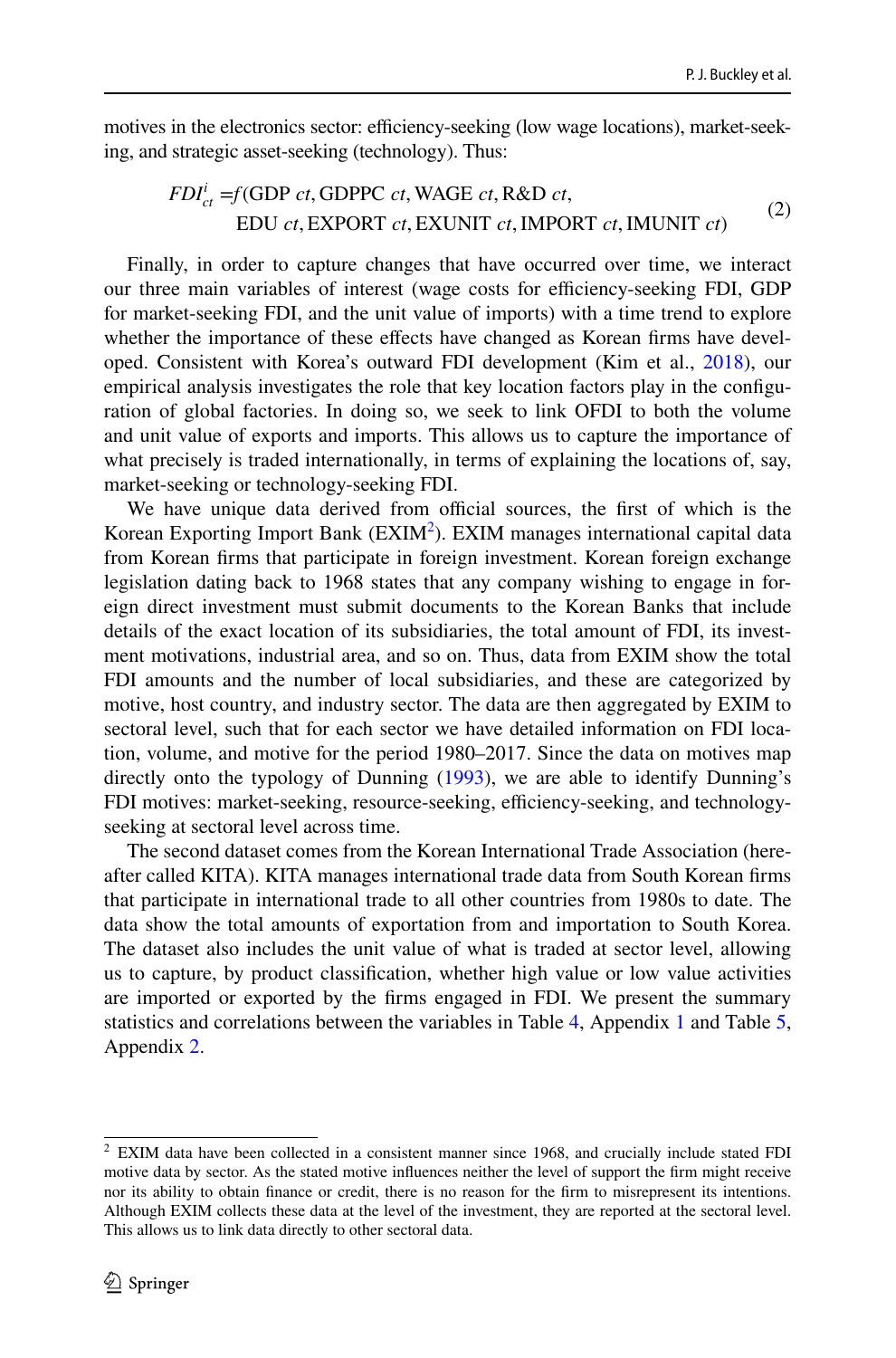motives in the electronics sector: efficiency-seeking (low wage locations), market-seeking, and strategic asset-seeking (technology). Thus:

$$
FDIcti = f(GDP ct, GDPPC ct, WAGE ct, R&D ct,
$$
  
EDU ct, EXPORT ct, EXUNIT ct, IMPORT ct, IMUNIT ct) (2)

Finally, in order to capture changes that have occurred over time, we interact our three main variables of interest (wage costs for efficiency-seeking FDI, GDP for market-seeking FDI, and the unit value of imports) with a time trend to explore whether the importance of these effects have changed as Korean firms have developed. Consistent with Korea's outward FDI development (Kim et al., 2018), our empirical analysis investigates the role that key location factors play in the configuration of global factories. In doing so, we seek to link OFDI to both the volume and unit value of exports and imports. This allows us to capture the importance of what precisely is traded internationally, in terms of explaining the locations of, say, market-seeking or technology-seeking FDI.

We have unique data derived from official sources, the first of which is the Korean Exporting Import Bank  $(EXIM<sup>2</sup>)$ . EXIM manages international capital data from Korean frms that participate in foreign investment. Korean foreign exchange legislation dating back to 1968 states that any company wishing to engage in foreign direct investment must submit documents to the Korean Banks that include details of the exact location of its subsidiaries, the total amount of FDI, its investment motivations, industrial area, and so on. Thus, data from EXIM show the total FDI amounts and the number of local subsidiaries, and these are categorized by motive, host country, and industry sector. The data are then aggregated by EXIM to sectoral level, such that for each sector we have detailed information on FDI location, volume, and motive for the period 1980–2017. Since the data on motives map directly onto the typology of Dunning (1993), we are able to identify Dunning's FDI motives: market-seeking, resource-seeking, efficiency-seeking, and technologyseeking at sectoral level across time.

The second dataset comes from the Korean International Trade Association (here‑ after called KITA). KITA manages international trade data from South Korean frms that participate in international trade to all other countries from 1980s to date. The data show the total amounts of exportation from and importation to South Korea. The dataset also includes the unit value of what is traded at sector level, allowing us to capture, by product classifcation, whether high value or low value activities are imported or exported by the frms engaged in FDI. We present the summary statistics and correlations between the variables in Table 4, Appendix 1 and Table 5, Appendix 2.

<sup>&</sup>lt;sup>2</sup> EXIM data have been collected in a consistent manner since 1968, and crucially include stated FDI motive data by sector. As the stated motive infuences neither the level of support the frm might receive nor its ability to obtain fnance or credit, there is no reason for the frm to misrepresent its intentions. Although EXIM collects these data at the level of the investment, they are reported at the sectoral level. This allows us to link data directly to other sectoral data.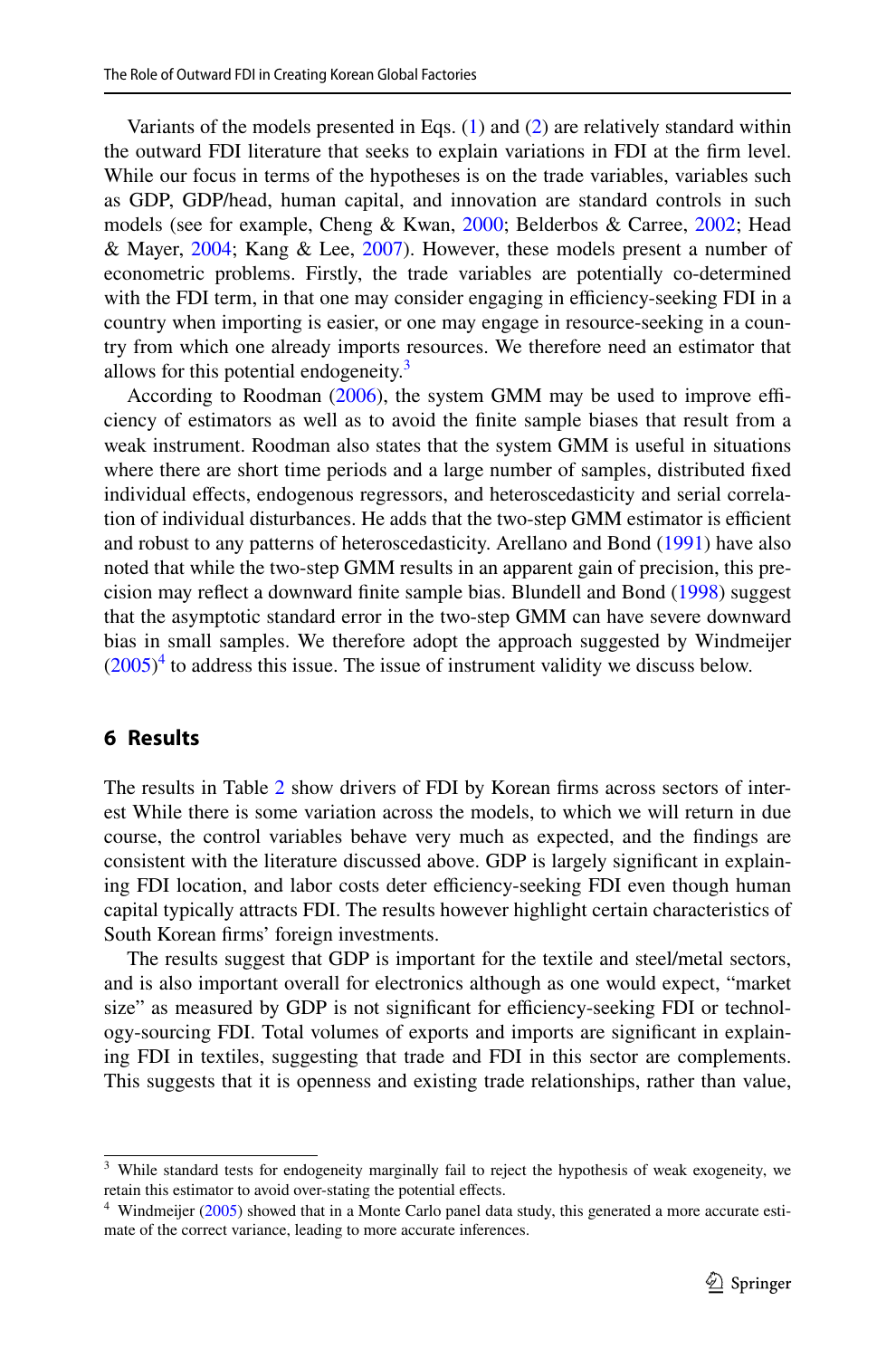Variants of the models presented in Eqs.  $(1)$  and  $(2)$  are relatively standard within the outward FDI literature that seeks to explain variations in FDI at the frm level. While our focus in terms of the hypotheses is on the trade variables, variables such as GDP, GDP/head, human capital, and innovation are standard controls in such models (see for example, Cheng & Kwan, 2000; Belderbos & Carree, 2002; Head & Mayer, 2004; Kang & Lee, 2007). However, these models present a number of econometric problems. Firstly, the trade variables are potentially co-determined with the FDI term, in that one may consider engaging in efficiency-seeking FDI in a country when importing is easier, or one may engage in resource-seeking in a country from which one already imports resources. We therefore need an estimator that allows for this potential endogeneity.<sup>3</sup>

According to Roodman (2006), the system GMM may be used to improve efficiency of estimators as well as to avoid the fnite sample biases that result from a weak instrument. Roodman also states that the system GMM is useful in situations where there are short time periods and a large number of samples, distributed fxed individual effects, endogenous regressors, and heteroscedasticity and serial correlation of individual disturbances. He adds that the two-step GMM estimator is efficient and robust to any patterns of heteroscedasticity. Arellano and Bond (1991) have also noted that while the two-step GMM results in an apparent gain of precision, this precision may refect a downward fnite sample bias. Blundell and Bond (1998) suggest that the asymptotic standard error in the two-step GMM can have severe downward bias in small samples. We therefore adopt the approach suggested by Windmeijer  $(2005)^4$  to address this issue. The issue of instrument validity we discuss below.

## **6 Results**

The results in Table 2 show drivers of FDI by Korean firms across sectors of interest While there is some variation across the models, to which we will return in due course, the control variables behave very much as expected, and the fndings are consistent with the literature discussed above. GDP is largely significant in explaining FDI location, and labor costs deter efficiency-seeking FDI even though human capital typically attracts FDI. The results however highlight certain characteristics of South Korean frms' foreign investments.

The results suggest that GDP is important for the textile and steel/metal sectors, and is also important overall for electronics although as one would expect, "market size" as measured by GDP is not significant for efficiency-seeking FDI or technology-sourcing FDI. Total volumes of exports and imports are significant in explaining FDI in textiles, suggesting that trade and FDI in this sector are complements. This suggests that it is openness and existing trade relationships, rather than value,

<sup>&</sup>lt;sup>3</sup> While standard tests for endogeneity marginally fail to reject the hypothesis of weak exogeneity, we retain this estimator to avoid over-stating the potential effects.

 $4$  Windmeijer (2005) showed that in a Monte Carlo panel data study, this generated a more accurate estimate of the correct variance, leading to more accurate inferences.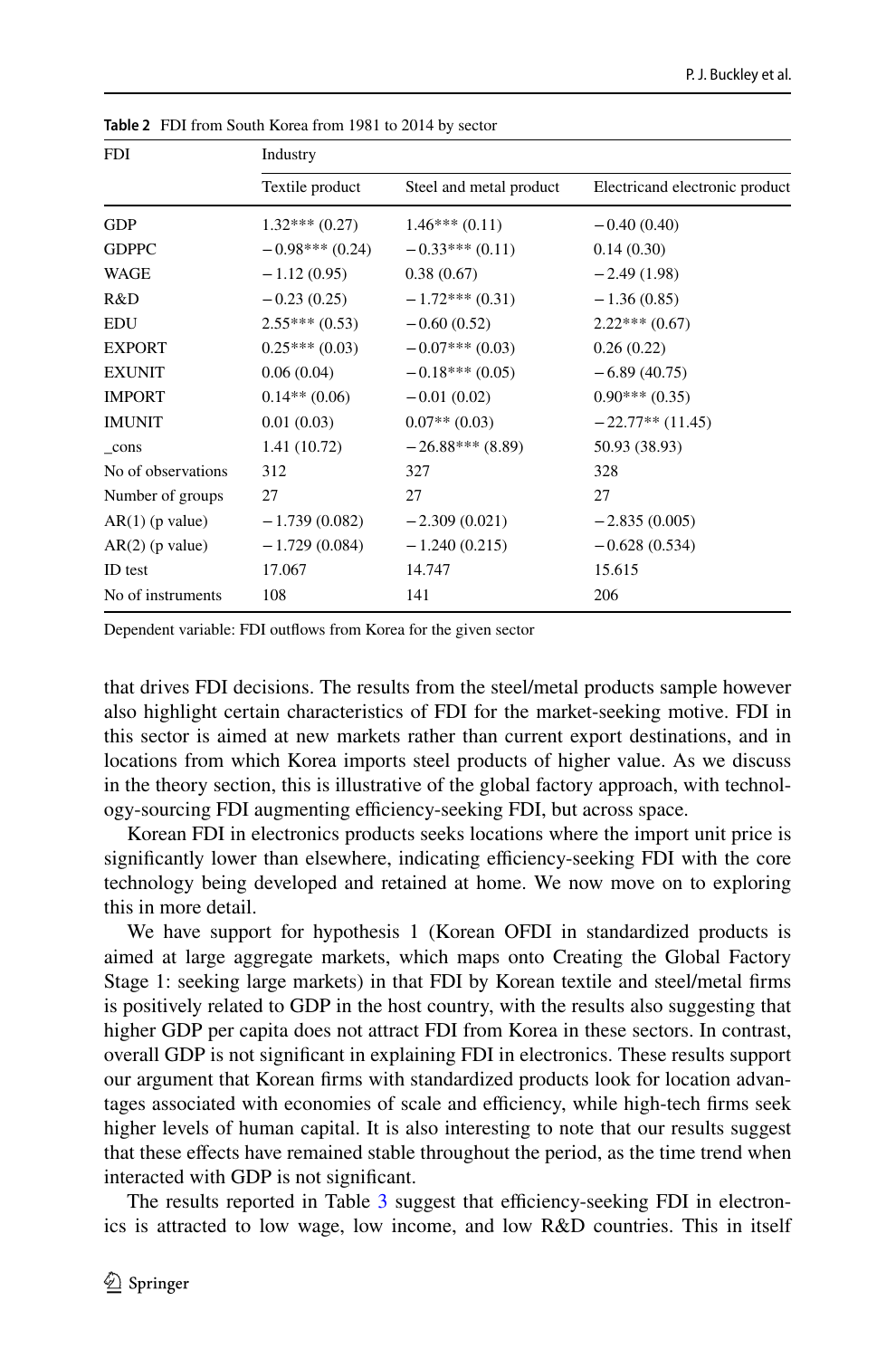| <b>FDI</b>         | Industry         |                         |                                |
|--------------------|------------------|-------------------------|--------------------------------|
|                    | Textile product  | Steel and metal product | Electricand electronic product |
| <b>GDP</b>         | $1.32***(0.27)$  | $1.46***(0.11)$         | $-0.40(0.40)$                  |
| <b>GDPPC</b>       | $-0.98***(0.24)$ | $-0.33***(0.11)$        | 0.14(0.30)                     |
| WAGE               | $-1.12(0.95)$    | 0.38(0.67)              | $-2.49(1.98)$                  |
| R&D                | $-0.23(0.25)$    | $-1.72***(0.31)$        | $-1.36(0.85)$                  |
| <b>EDU</b>         | $2.55***(0.53)$  | $-0.60(0.52)$           | $2.22***(0.67)$                |
| <b>EXPORT</b>      | $0.25***(0.03)$  | $-0.07***(0.03)$        | 0.26(0.22)                     |
| <b>EXUNIT</b>      | 0.06(0.04)       | $-0.18***(0.05)$        | $-6.89(40.75)$                 |
| <b>IMPORT</b>      | $0.14**$ (0.06)  | $-0.01(0.02)$           | $0.90***(0.35)$                |
| <b>IMUNIT</b>      | 0.01(0.03)       | $0.07**$ (0.03)         | $-22.77**$ (11.45)             |
| cons               | 1.41 (10.72)     | $-26.88***$ (8.89)      | 50.93 (38.93)                  |
| No of observations | 312              | 327                     | 328                            |
| Number of groups   | 27               | 27                      | 27                             |
| $AR(1)$ (p value)  | $-1.739(0.082)$  | $-2.309(0.021)$         | $-2.835(0.005)$                |
| $AR(2)$ (p value)  | $-1.729(0.084)$  | $-1.240(0.215)$         | $-0.628(0.534)$                |
| ID test            | 17.067           | 14.747                  | 15.615                         |
| No of instruments  | 108              | 141                     | 206                            |

**Table 2** FDI from South Korea from 1981 to 2014 by sector

Dependent variable: FDI outfows from Korea for the given sector

that drives FDI decisions. The results from the steel/metal products sample however also highlight certain characteristics of FDI for the market-seeking motive. FDI in this sector is aimed at new markets rather than current export destinations, and in locations from which Korea imports steel products of higher value. As we discuss in the theory section, this is illustrative of the global factory approach, with technology-sourcing FDI augmenting efficiency-seeking FDI, but across space.

Korean FDI in electronics products seeks locations where the import unit price is significantly lower than elsewhere, indicating efficiency-seeking FDI with the core technology being developed and retained at home. We now move on to exploring this in more detail.

We have support for hypothesis 1 (Korean OFDI in standardized products is aimed at large aggregate markets, which maps onto Creating the Global Factory Stage 1: seeking large markets) in that FDI by Korean textile and steel/metal frms is positively related to GDP in the host country, with the results also suggesting that higher GDP per capita does not attract FDI from Korea in these sectors. In contrast, overall GDP is not signifcant in explaining FDI in electronics. These results support our argument that Korean firms with standardized products look for location advantages associated with economies of scale and efficiency, while high-tech firms seek higher levels of human capital. It is also interesting to note that our results suggest that these efects have remained stable throughout the period, as the time trend when interacted with GDP is not signifcant.

The results reported in Table 3 suggest that efficiency-seeking FDI in electronics is attracted to low wage, low income, and low R&D countries. This in itself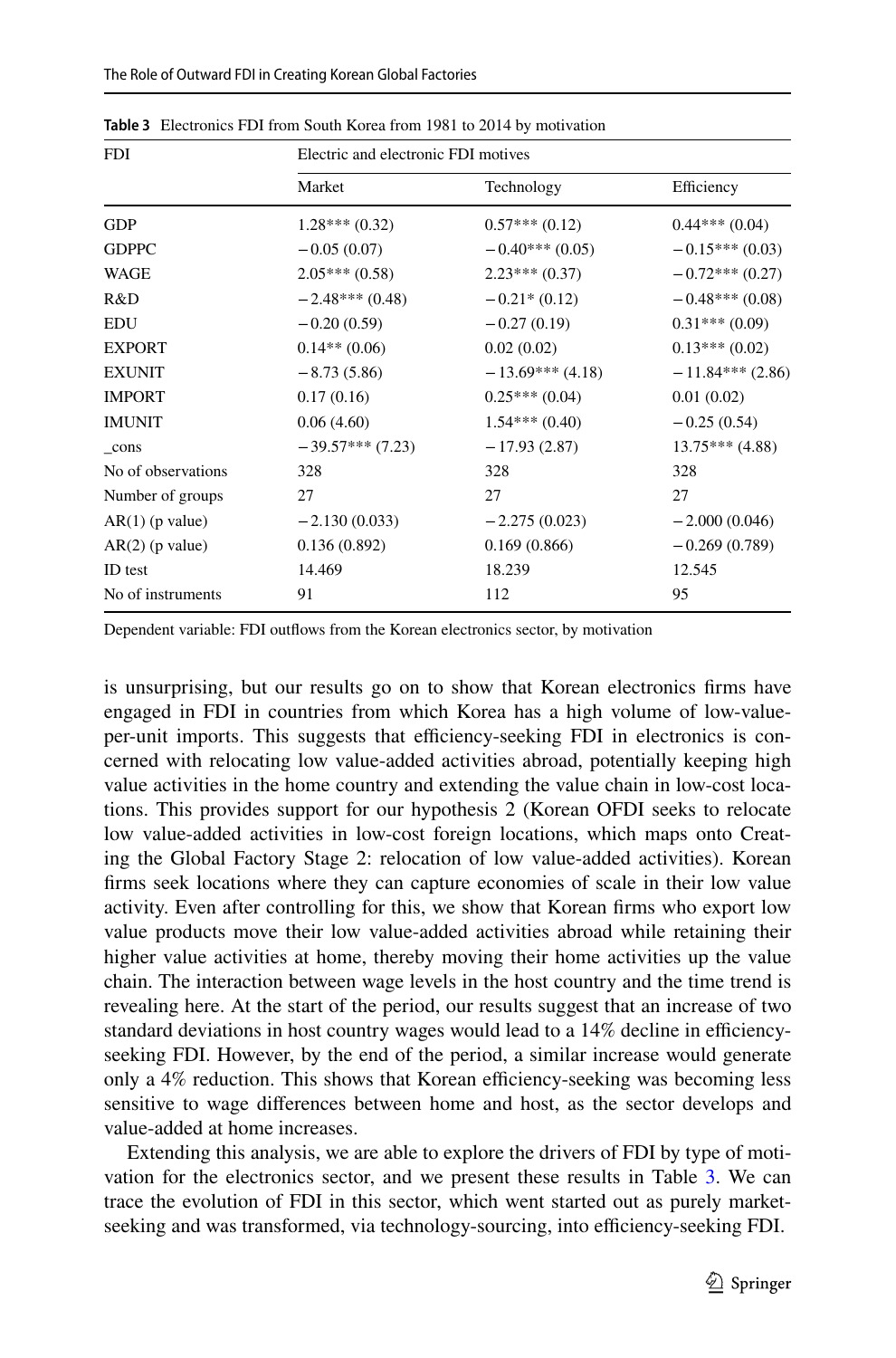| <b>FDI</b>         | Electric and electronic FDI motives |                    |                    |
|--------------------|-------------------------------------|--------------------|--------------------|
|                    | Market                              | Technology         | Efficiency         |
| <b>GDP</b>         | $1.28***(0.32)$                     | $0.57***(0.12)$    | $0.44***(0.04)$    |
| <b>GDPPC</b>       | $-0.05(0.07)$                       | $-0.40***(0.05)$   | $-0.15***(0.03)$   |
| <b>WAGE</b>        | $2.05***(0.58)$                     | $2.23***(0.37)$    | $-0.72***(0.27)$   |
| R&D                | $-2.48***(0.48)$                    | $-0.21*(0.12)$     | $-0.48***(0.08)$   |
| <b>EDU</b>         | $-0.20(0.59)$                       | $-0.27(0.19)$      | $0.31***(0.09)$    |
| <b>EXPORT</b>      | $0.14**$ (0.06)                     | 0.02(0.02)         | $0.13***(0.02)$    |
| <b>EXUNIT</b>      | $-8.73(5.86)$                       | $-13.69***$ (4.18) | $-11.84***$ (2.86) |
| <b>IMPORT</b>      | 0.17(0.16)                          | $0.25***(0.04)$    | 0.01(0.02)         |
| <b>IMUNIT</b>      | 0.06(4.60)                          | $1.54***(0.40)$    | $-0.25(0.54)$      |
| cons               | $-39.57***(7.23)$                   | $-17.93(2.87)$     | $13.75***$ (4.88)  |
| No of observations | 328                                 | 328                | 328                |
| Number of groups   | 27                                  | 27                 | 27                 |
| $AR(1)$ (p value)  | $-2.130(0.033)$                     | $-2.275(0.023)$    | $-2.000(0.046)$    |
| $AR(2)$ (p value)  | 0.136(0.892)                        | 0.169(0.866)       | $-0.269(0.789)$    |
| ID test            | 14.469                              | 18.239             | 12.545             |
| No of instruments  | 91                                  | 112                | 95                 |

**Table 3** Electronics FDI from South Korea from 1981 to 2014 by motivation

Dependent variable: FDI outfows from the Korean electronics sector, by motivation

is unsurprising, but our results go on to show that Korean electronics frms have engaged in FDI in countries from which Korea has a high volume of low-valueper-unit imports. This suggests that efficiency-seeking FDI in electronics is concerned with relocating low value-added activities abroad, potentially keeping high value activities in the home country and extending the value chain in low-cost locations. This provides support for our hypothesis 2 (Korean OFDI seeks to relocate low value-added activities in low-cost foreign locations, which maps onto Creating the Global Factory Stage 2: relocation of low value-added activities). Korean frms seek locations where they can capture economies of scale in their low value activity. Even after controlling for this, we show that Korean frms who export low value products move their low value-added activities abroad while retaining their higher value activities at home, thereby moving their home activities up the value chain. The interaction between wage levels in the host country and the time trend is revealing here. At the start of the period, our results suggest that an increase of two standard deviations in host country wages would lead to a 14% decline in efficiencyseeking FDI. However, by the end of the period, a similar increase would generate only a 4% reduction. This shows that Korean efficiency-seeking was becoming less sensitive to wage diferences between home and host, as the sector develops and value-added at home increases.

Extending this analysis, we are able to explore the drivers of FDI by type of motivation for the electronics sector, and we present these results in Table 3. We can trace the evolution of FDI in this sector, which went started out as purely marketseeking and was transformed, via technology-sourcing, into efficiency-seeking FDI.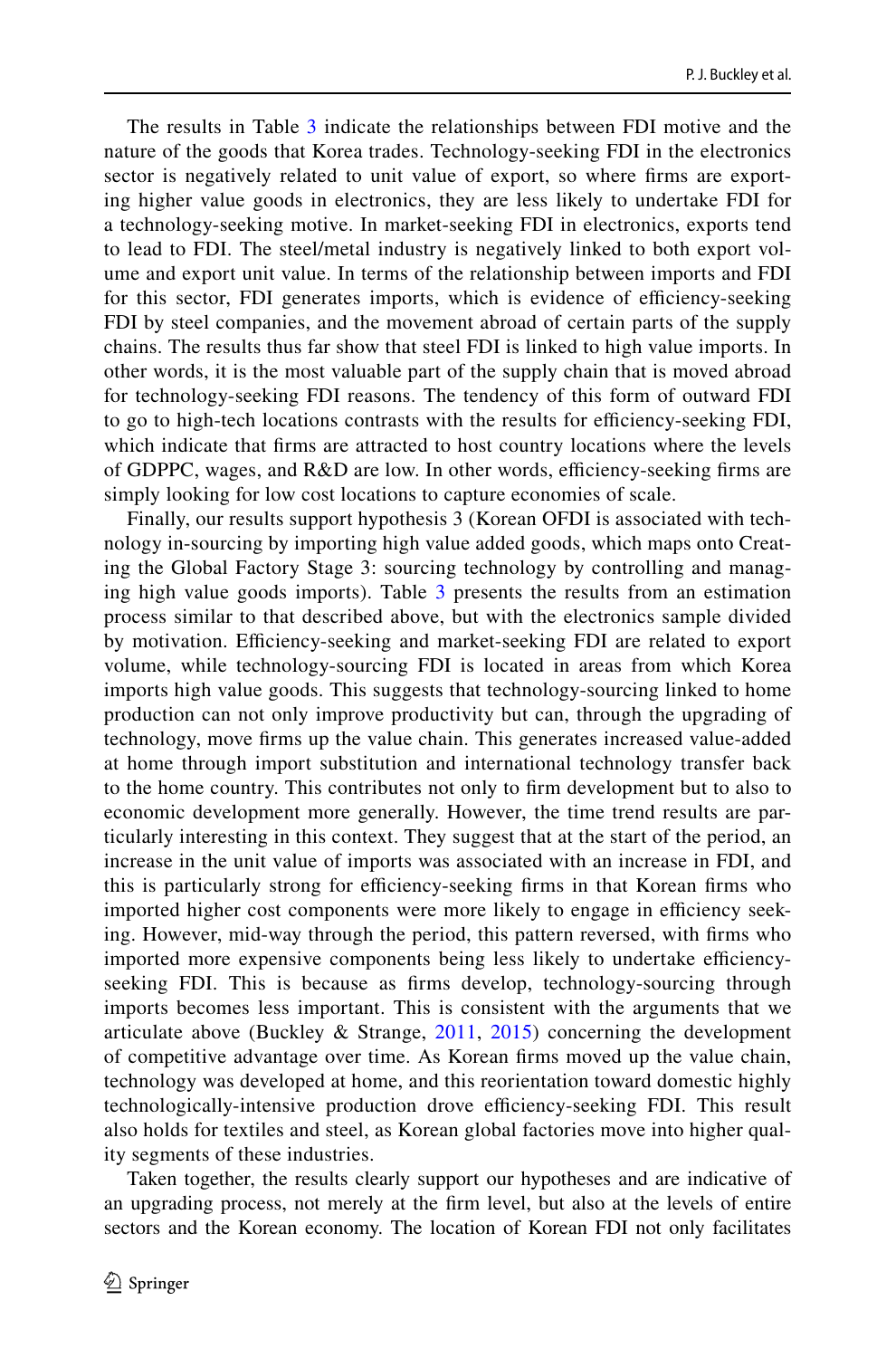The results in Table 3 indicate the relationships between FDI motive and the nature of the goods that Korea trades. Technology-seeking FDI in the electronics sector is negatively related to unit value of export, so where firms are exporting higher value goods in electronics, they are less likely to undertake FDI for a technology-seeking motive. In market-seeking FDI in electronics, exports tend to lead to FDI. The steel/metal industry is negatively linked to both export volume and export unit value. In terms of the relationship between imports and FDI for this sector, FDI generates imports, which is evidence of efficiency-seeking FDI by steel companies, and the movement abroad of certain parts of the supply chains. The results thus far show that steel FDI is linked to high value imports. In other words, it is the most valuable part of the supply chain that is moved abroad for technology-seeking FDI reasons. The tendency of this form of outward FDI to go to high-tech locations contrasts with the results for efficiency-seeking FDI, which indicate that frms are attracted to host country locations where the levels of GDPPC, wages, and  $R&D$  are low. In other words, efficiency-seeking firms are simply looking for low cost locations to capture economies of scale.

Finally, our results support hypothesis 3 (Korean OFDI is associated with technology in-sourcing by importing high value added goods, which maps onto Creating the Global Factory Stage 3: sourcing technology by controlling and managing high value goods imports). Table  $3$  presents the results from an estimation process similar to that described above, but with the electronics sample divided by motivation. Efficiency-seeking and market-seeking FDI are related to export volume, while technology-sourcing FDI is located in areas from which Korea imports high value goods. This suggests that technology-sourcing linked to home production can not only improve productivity but can, through the upgrading of technology, move frms up the value chain. This generates increased value-added at home through import substitution and international technology transfer back to the home country. This contributes not only to frm development but to also to economic development more generally. However, the time trend results are par ticularly interesting in this context. They suggest that at the start of the period, an increase in the unit value of imports was associated with an increase in FDI, and this is particularly strong for efficiency-seeking firms in that Korean firms who imported higher cost components were more likely to engage in efficiency seeking. However, mid-way through the period, this pattern reversed, with frms who imported more expensive components being less likely to undertake efficiencyseeking FDI. This is because as frms develop, technology-sourcing through imports becomes less important. This is consistent with the arguments that we articulate above (Buckley & Strange,  $2011$ ,  $2015$ ) concerning the development of competitive advantage over time. As Korean frms moved up the value chain, technology was developed at home, and this reorientation toward domestic highly technologically-intensive production drove efficiency-seeking FDI. This result also holds for textiles and steel, as Korean global factories move into higher quality segments of these industries.

Taken together, the results clearly support our hypotheses and are indicative of an upgrading process, not merely at the frm level, but also at the levels of entire sectors and the Korean economy. The location of Korean FDI not only facilitates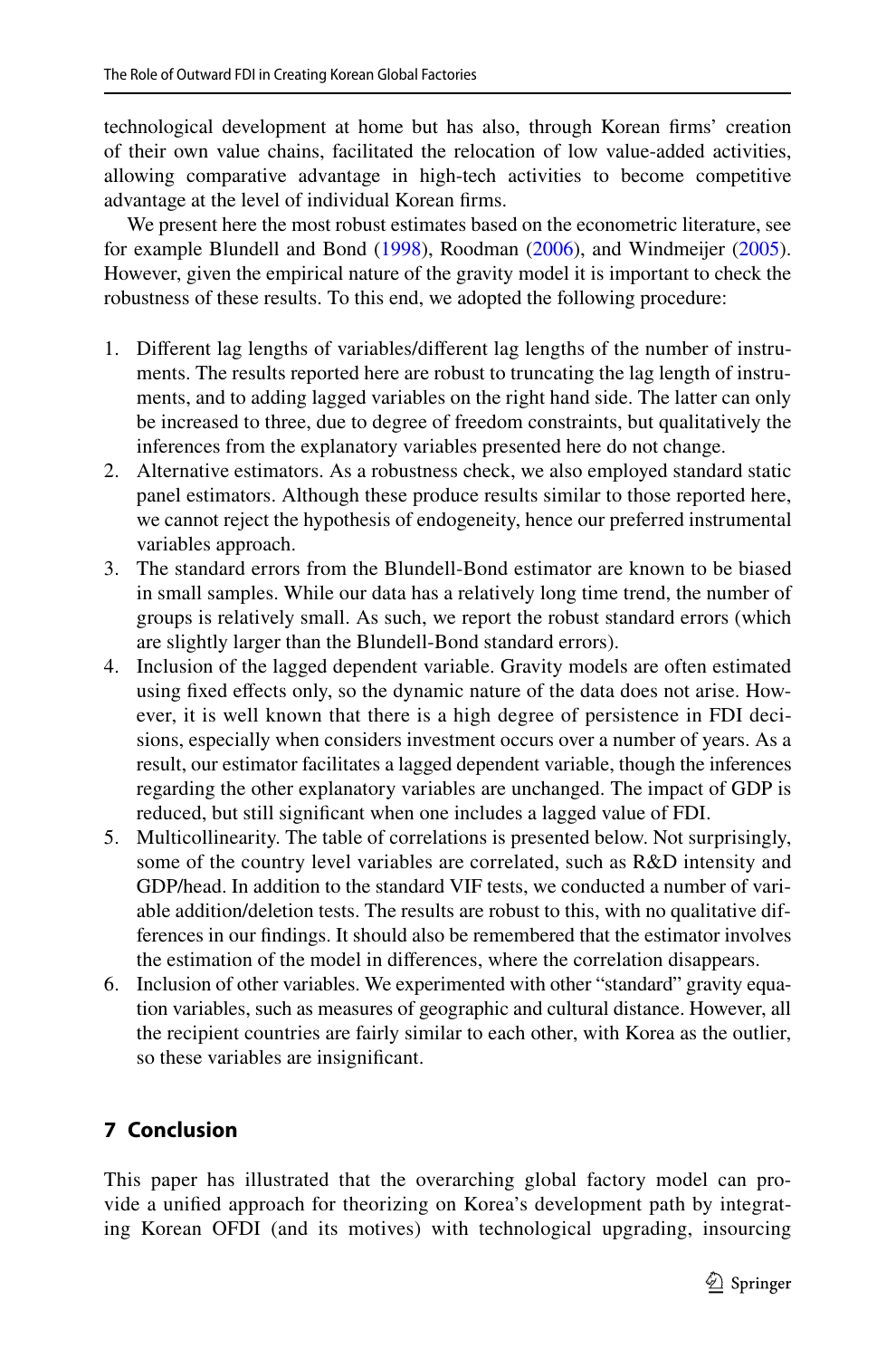technological development at home but has also, through Korean frms' creation of their own value chains, facilitated the relocation of low value-added activities, allowing comparative advantage in high-tech activities to become competitive advantage at the level of individual Korean frms.

We present here the most robust estimates based on the econometric literature, see for example Blundell and Bond (1998), Roodman (2006), and Windmeijer (2005). However, given the empirical nature of the gravity model it is important to check the robustness of these results. To this end, we adopted the following procedure:

- 1. Different lag lengths of variables/different lag lengths of the number of instruments. The results reported here are robust to truncating the lag length of instruments, and to adding lagged variables on the right hand side. The latter can only be increased to three, due to degree of freedom constraints, but qualitatively the inferences from the explanatory variables presented here do not change.
- 2. Alternative estimators. As a robustness check, we also employed standard static panel estimators. Although these produce results similar to those reported here, we cannot reject the hypothesis of endogeneity, hence our preferred instrumental variables approach.
- 3. The standard errors from the Blundell-Bond estimator are known to be biased in small samples. While our data has a relatively long time trend, the number of groups is relatively small. As such, we report the robust standard errors (which are slightly larger than the Blundell-Bond standard errors).
- 4. Inclusion of the lagged dependent variable. Gravity models are often estimated using fixed effects only, so the dynamic nature of the data does not arise. However, it is well known that there is a high degree of persistence in FDI decisions, especially when considers investment occurs over a number of years. As a result, our estimator facilitates a lagged dependent variable, though the inferences regarding the other explanatory variables are unchanged. The impact of GDP is reduced, but still signifcant when one includes a lagged value of FDI.
- 5. Multicollinearity. The table of correlations is presented below. Not surprisingly, some of the country level variables are correlated, such as R&D intensity and GDP/head. In addition to the standard VIF tests, we conducted a number of variable addition/deletion tests. The results are robust to this, with no qualitative differences in our fndings. It should also be remembered that the estimator involves the estimation of the model in diferences, where the correlation disappears.
- 6. Inclusion of other variables. We experimented with other "standard" gravity equation variables, such as measures of geographic and cultural distance. However, all the recipient countries are fairly similar to each other, with Korea as the outlier, so these variables are insignifcant.

## **7 Conclusion**

This paper has illustrated that the overarching global factory model can provide a unified approach for theorizing on Korea's development path by integrating Korean OFDI (and its motives) with technological upgrading, insourcing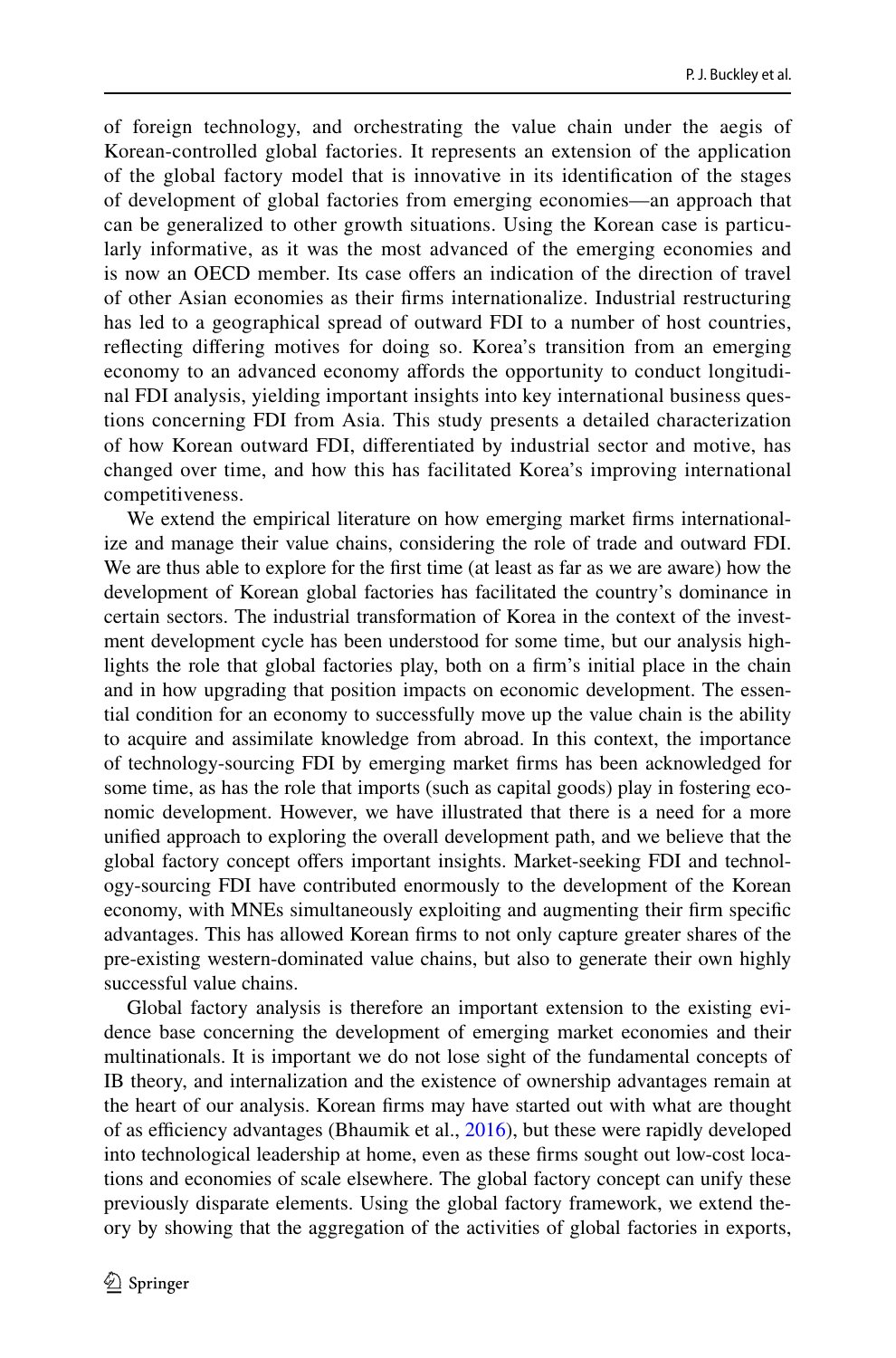of foreign technology, and orchestrating the value chain under the aegis of Korean-controlled global factories. It represents an extension of the application of the global factory model that is innovative in its identifcation of the stages of development of global factories from emerging economies—an approach that can be generalized to other growth situations. Using the Korean case is particularly informative, as it was the most advanced of the emerging economies and is now an OECD member. Its case ofers an indication of the direction of travel of other Asian economies as their frms internationalize. Industrial restructuring has led to a geographical spread of outward FDI to a number of host countries, refecting difering motives for doing so. Korea's transition from an emerging economy to an advanced economy affords the opportunity to conduct longitudinal FDI analysis, yielding important insights into key international business ques– tions concerning FDI from Asia. This study presents a detailed characterization of how Korean outward FDI, diferentiated by industrial sector and motive, has changed over time, and how this has facilitated Korea's improving international competitiveness.

We extend the empirical literature on how emerging market firms international– ize and manage their value chains, considering the role of trade and outward FDI. We are thus able to explore for the frst time (at least as far as we are aware) how the development of Korean global factories has facilitated the country's dominance in certain sectors. The industrial transformation of Korea in the context of the investment development cycle has been understood for some time, but our analysis highlights the role that global factories play, both on a frm's initial place in the chain and in how upgrading that position impacts on economic development. The essential condition for an economy to successfully move up the value chain is the ability to acquire and assimilate knowledge from abroad. In this context, the importance of technology-sourcing FDI by emerging market frms has been acknowledged for some time, as has the role that imports (such as capital goods) play in fostering economic development. However, we have illustrated that there is a need for a more unifed approach to exploring the overall development path, and we believe that the global factory concept offers important insights. Market-seeking FDI and technology-sourcing FDI have contributed enormously to the development of the Korean economy, with MNEs simultaneously exploiting and augmenting their frm specifc advantages. This has allowed Korean frms to not only capture greater shares of the pre-existing western-dominated value chains, but also to generate their own highly successful value chains.

Global factory analysis is therefore an important extension to the existing evidence base concerning the development of emerging market economies and their multinationals. It is important we do not lose sight of the fundamental concepts of IB theory, and internalization and the existence of ownership advantages remain at the heart of our analysis. Korean frms may have started out with what are thought of as efficiency advantages (Bhaumik et al.,  $2016$ ), but these were rapidly developed into technological leadership at home, even as these firms sought out low-cost locations and economies of scale elsewhere. The global factory concept can unify these previously disparate elements. Using the global factory framework, we extend theory by showing that the aggregation of the activities of global factories in exports,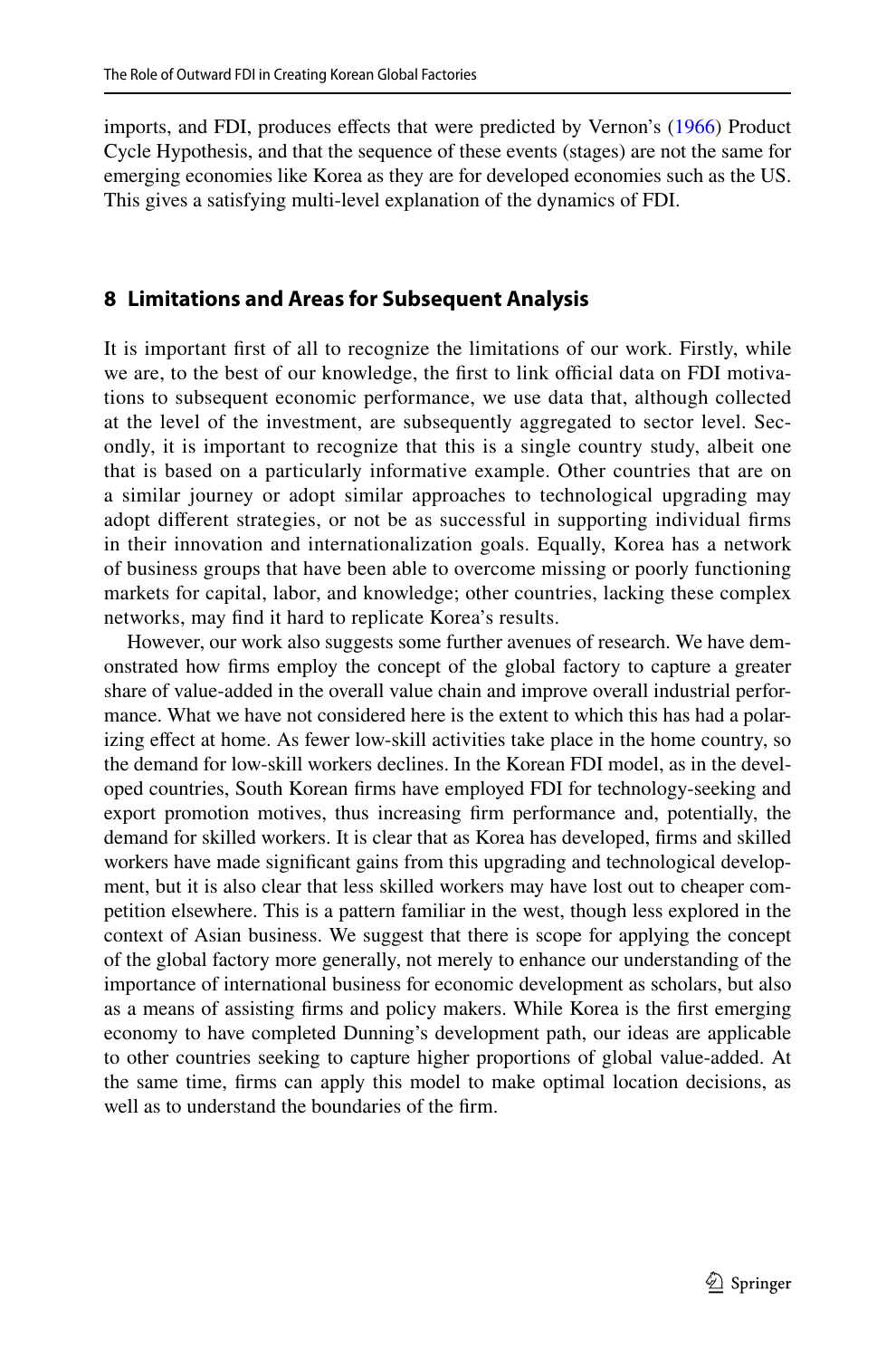imports, and FDI, produces efects that were predicted by Vernon's (1966) Product Cycle Hypothesis, and that the sequence of these events (stages) are not the same for emerging economies like Korea as they are for developed economies such as the US. This gives a satisfying multi-level explanation of the dynamics of FDI.

### **8 Limitations and Areas for Subsequent Analysis**

It is important frst of all to recognize the limitations of our work. Firstly, while we are, to the best of our knowledge, the first to link official data on FDI motivations to subsequent economic performance, we use data that, although collected at the level of the investment, are subsequently aggregated to sector level. Secondly, it is important to recognize that this is a single country study, albeit one that is based on a particularly informative example. Other countries that are on a similar journey or adopt similar approaches to technological upgrading may adopt diferent strategies, or not be as successful in supporting individual frms in their innovation and internationalization goals. Equally, Korea has a network of business groups that have been able to overcome missing or poorly functioning markets for capital, labor, and knowledge; other countries, lacking these complex networks, may fnd it hard to replicate Korea's results.

However, our work also suggests some further avenues of research. We have demonstrated how frms employ the concept of the global factory to capture a greater share of value-added in the overall value chain and improve overall industrial performance. What we have not considered here is the extent to which this has had a polarizing effect at home. As fewer low-skill activities take place in the home country, so the demand for low-skill workers declines. In the Korean FDI model, as in the developed countries, South Korean frms have employed FDI for technology-seeking and export promotion motives, thus increasing frm performance and, potentially, the demand for skilled workers. It is clear that as Korea has developed, frms and skilled workers have made significant gains from this upgrading and technological development, but it is also clear that less skilled workers may have lost out to cheaper competition elsewhere. This is a pattern familiar in the west, though less explored in the context of Asian business. We suggest that there is scope for applying the concept of the global factory more generally, not merely to enhance our understanding of the importance of international business for economic development as scholars, but also as a means of assisting frms and policy makers. While Korea is the frst emerging economy to have completed Dunning's development path, our ideas are applicable to other countries seeking to capture higher proportions of global value-added. At the same time, frms can apply this model to make optimal location decisions, as well as to understand the boundaries of the frm.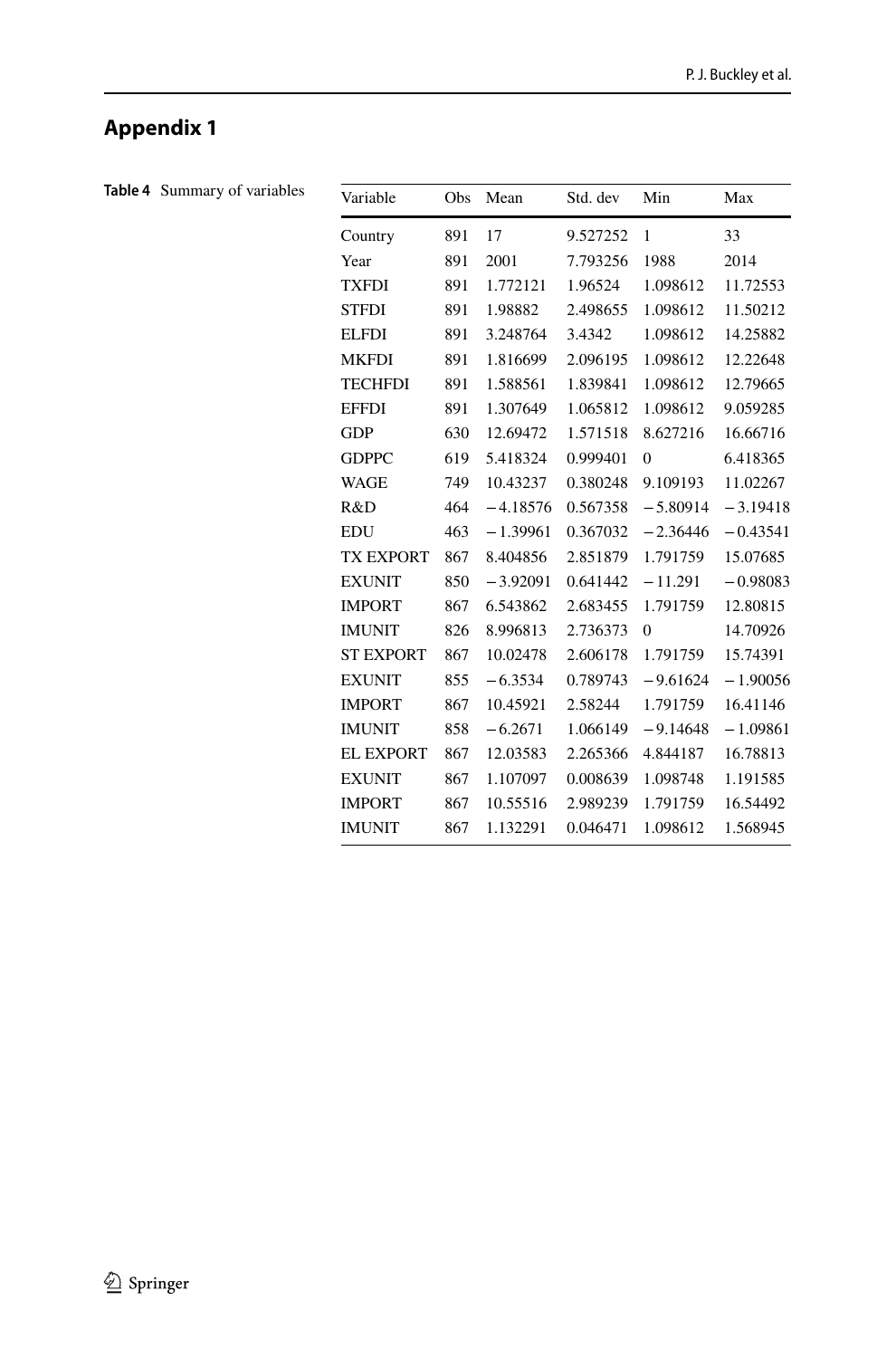# **Appendix 1**

| Table 4 Summary of variables | Variable         | Obs | Mean       | Std. dev | Min              | Max        |
|------------------------------|------------------|-----|------------|----------|------------------|------------|
|                              | Country          | 891 | 17         | 9.527252 | $\mathbf{1}$     | 33         |
|                              | Year             | 891 | 2001       | 7.793256 | 1988             | 2014       |
|                              | <b>TXFDI</b>     | 891 | 1.772121   | 1.96524  | 1.098612         | 11.72553   |
|                              | <b>STFDI</b>     | 891 | 1.98882    | 2.498655 | 1.098612         | 11.50212   |
|                              | <b>ELFDI</b>     | 891 | 3.248764   | 3.4342   | 1.098612         | 14.25882   |
|                              | <b>MKFDI</b>     | 891 | 1.816699   | 2.096195 | 1.098612         | 12.22648   |
|                              | <b>TECHFDI</b>   | 891 | 1.588561   | 1.839841 | 1.098612         | 12.79665   |
|                              | <b>EFFDI</b>     | 891 | 1.307649   | 1.065812 | 1.098612         | 9.059285   |
|                              | <b>GDP</b>       | 630 | 12.69472   | 1.571518 | 8.627216         | 16.66716   |
|                              | <b>GDPPC</b>     | 619 | 5.418324   | 0.999401 | $\boldsymbol{0}$ | 6.418365   |
|                              | <b>WAGE</b>      | 749 | 10.43237   | 0.380248 | 9.109193         | 11.02267   |
|                              | R&D              | 464 | $-4.18576$ | 0.567358 | $-5.80914$       | $-3.19418$ |
|                              | <b>EDU</b>       | 463 | $-1.39961$ | 0.367032 | $-2.36446$       | $-0.43541$ |
|                              | <b>TX EXPORT</b> | 867 | 8.404856   | 2.851879 | 1.791759         | 15.07685   |
|                              | <b>EXUNIT</b>    | 850 | $-3.92091$ | 0.641442 | $-11.291$        | $-0.98083$ |
|                              | <b>IMPORT</b>    | 867 | 6.543862   | 2.683455 | 1.791759         | 12.80815   |
|                              | <b>IMUNIT</b>    | 826 | 8.996813   | 2.736373 | $\mathbf{0}$     | 14.70926   |
|                              | <b>ST EXPORT</b> | 867 | 10.02478   | 2.606178 | 1.791759         | 15.74391   |
|                              | <b>EXUNIT</b>    | 855 | $-6.3534$  | 0.789743 | $-9.61624$       | $-1.90056$ |
|                              | <b>IMPORT</b>    | 867 | 10.45921   | 2.58244  | 1.791759         | 16.41146   |
|                              | <b>IMUNIT</b>    | 858 | $-6.2671$  | 1.066149 | $-9.14648$       | $-1.09861$ |
|                              | <b>EL EXPORT</b> | 867 | 12.03583   | 2.265366 | 4.844187         | 16.78813   |
|                              | <b>EXUNIT</b>    | 867 | 1.107097   | 0.008639 | 1.098748         | 1.191585   |
|                              | <b>IMPORT</b>    | 867 | 10.55516   | 2.989239 | 1.791759         | 16.54492   |
|                              | <b>IMUNIT</b>    | 867 | 1.132291   | 0.046471 | 1.098612         | 1.568945   |
|                              |                  |     |            |          |                  |            |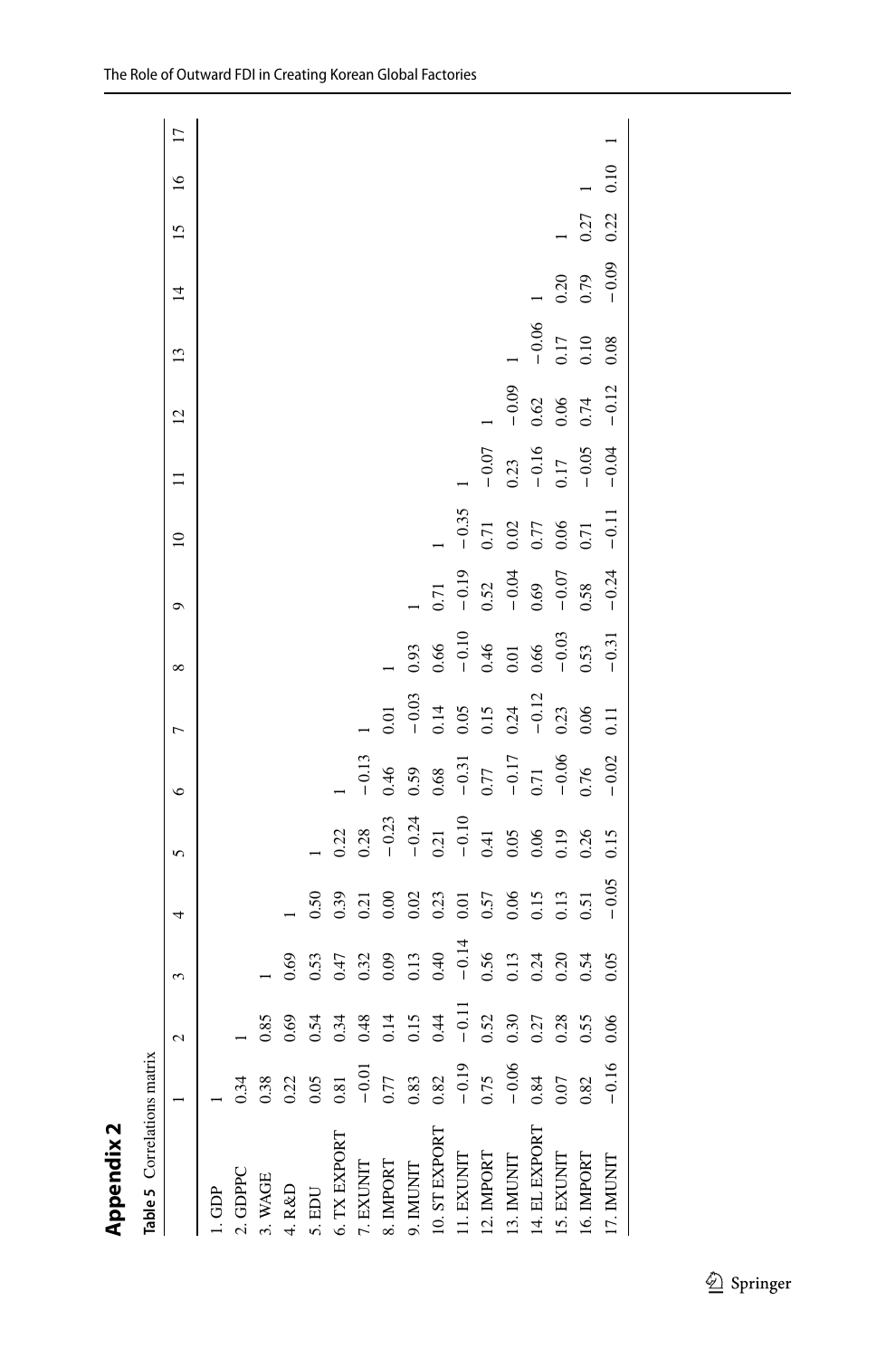| ٢<br>١ |
|--------|
|        |
|        |
| .,     |
| ٠      |
|        |

| ı |
|---|
|   |
|   |

|                   |                            | $\mathbf{c}$ | 3    |                                                                                                                                                                                 | 5                                                                      | $\circ$                                                                                                | $\overline{ }$                       | ∞                                                                                               | Q                                                                               | $\approx$    | $\equiv$                                                               | $\overline{c}$ | 13                      | $\overline{4}$ | 15   | $\overline{16}$ | $\Box$ |
|-------------------|----------------------------|--------------|------|---------------------------------------------------------------------------------------------------------------------------------------------------------------------------------|------------------------------------------------------------------------|--------------------------------------------------------------------------------------------------------|--------------------------------------|-------------------------------------------------------------------------------------------------|---------------------------------------------------------------------------------|--------------|------------------------------------------------------------------------|----------------|-------------------------|----------------|------|-----------------|--------|
| 1.6 <sup>DP</sup> |                            |              |      |                                                                                                                                                                                 |                                                                        |                                                                                                        |                                      |                                                                                                 |                                                                                 |              |                                                                        |                |                         |                |      |                 |        |
| 2. GDPPC          | 0.34                       |              |      |                                                                                                                                                                                 |                                                                        |                                                                                                        |                                      |                                                                                                 |                                                                                 |              |                                                                        |                |                         |                |      |                 |        |
| 3. WAGE           | 0.38                       |              |      |                                                                                                                                                                                 |                                                                        |                                                                                                        |                                      |                                                                                                 |                                                                                 |              |                                                                        |                |                         |                |      |                 |        |
| 4. R&D            | 0.22                       | 0.69         | 0.69 |                                                                                                                                                                                 |                                                                        |                                                                                                        |                                      |                                                                                                 |                                                                                 |              |                                                                        |                |                         |                |      |                 |        |
| 5. EDU            | 0.05                       | 0.54         |      |                                                                                                                                                                                 |                                                                        |                                                                                                        |                                      |                                                                                                 |                                                                                 |              |                                                                        |                |                         |                |      |                 |        |
| 6. TX EXPORT      | $0.81\,$                   | 0.34         |      | $0.50$<br>0.39                                                                                                                                                                  | 0.22                                                                   |                                                                                                        |                                      |                                                                                                 |                                                                                 |              |                                                                        |                |                         |                |      |                 |        |
| 7. EXUNIT         | $-0.01$                    |              |      | $\frac{1}{2}$<br>$\frac{1}{2}$<br>$\frac{1}{2}$<br>$\frac{1}{2}$<br>$\frac{1}{2}$<br>$\frac{1}{2}$<br>$\frac{1}{2}$<br>$\frac{1}{2}$<br>$\frac{1}{2}$<br><br>iii<br><br><br>iii | 0.28                                                                   |                                                                                                        |                                      |                                                                                                 |                                                                                 |              |                                                                        |                |                         |                |      |                 |        |
| 8. IMPORT         |                            |              |      |                                                                                                                                                                                 |                                                                        |                                                                                                        | 0.01                                 |                                                                                                 |                                                                                 |              |                                                                        |                |                         |                |      |                 |        |
| 9. IMUNIT         | $0.77$<br>$0.83$<br>$0.82$ |              |      |                                                                                                                                                                                 |                                                                        |                                                                                                        | $-0.03$                              | 0.93                                                                                            |                                                                                 |              |                                                                        |                |                         |                |      |                 |        |
| 10. ST EXPORT     |                            |              |      |                                                                                                                                                                                 |                                                                        |                                                                                                        |                                      |                                                                                                 | 0.71                                                                            |              |                                                                        |                |                         |                |      |                 |        |
| 11. EXUNIT        | $-0.19$                    |              |      |                                                                                                                                                                                 |                                                                        |                                                                                                        | $0.14$<br>$0.05$<br>$0.15$<br>$0.24$ |                                                                                                 | $-0.19$                                                                         | $-0.35$      |                                                                        |                |                         |                |      |                 |        |
| 12. IMPORT        | 0.75                       |              |      |                                                                                                                                                                                 |                                                                        |                                                                                                        |                                      |                                                                                                 |                                                                                 | 0.71         | $-0.07$                                                                |                |                         |                |      |                 |        |
| 13. IMUNIT        | $-0.06$                    |              |      |                                                                                                                                                                                 |                                                                        |                                                                                                        |                                      |                                                                                                 |                                                                                 | $0.02\,$     |                                                                        | $-0.09$        |                         |                |      |                 |        |
| 14. EL EXPORT     | 0.84                       |              |      |                                                                                                                                                                                 |                                                                        |                                                                                                        | $-0.12$                              |                                                                                                 |                                                                                 | 0.77<br>0.06 |                                                                        |                |                         |                |      |                 |        |
| 15. EXUNIT        | 0.07                       |              |      | $\begin{array}{c} 0.57 \\ 0.06 \\ 0.15 \\ 0.13 \\ 0.51 \end{array}$                                                                                                             | $-0.23$<br>$-0.21$<br>$-0.1$<br>$-0.41$<br>$-0.4$<br>0.00 0.09<br>0.26 | $-0.13$<br>$0.46$<br>$0.59$<br>$0.68$<br>$-0.31$<br>$-0.17$<br>$-0.17$<br>$-0.06$<br>$0.76$<br>$-0.06$ | 0.23                                 | $\begin{array}{r} 0.66 \\ -0.10 \\ 0.46 \\ 0.01 \\ 0.66 \\ -0.03 \\ -0.31 \\ -0.31 \end{array}$ | $\begin{array}{r} 0.52 \\ -0.04 \\ 0.69 \\ -0.07 \\ -0.58 \\ -0.24 \end{array}$ |              | $\begin{array}{c} 0.23 \\ -0.16 \\ 0.17 \\ -0.05 \\ -0.05 \end{array}$ | $0.62$<br>0.06 | $-0.06$<br>0.17<br>0.10 | 0.20           |      |                 |        |
| 16. IMPORT        | 0.82                       |              |      |                                                                                                                                                                                 |                                                                        |                                                                                                        | 0.06                                 |                                                                                                 |                                                                                 | 0.71         |                                                                        | 0.74           |                         | $-0.79$        | 0.27 |                 |        |
| 17. IMUNIT        | $-0.16$                    |              |      | $-0.05$                                                                                                                                                                         | 0.15                                                                   |                                                                                                        | 11                                   |                                                                                                 |                                                                                 | $-0.11$      |                                                                        | $-0.12$        | 0.08                    |                | 0.22 | 0.10            |        |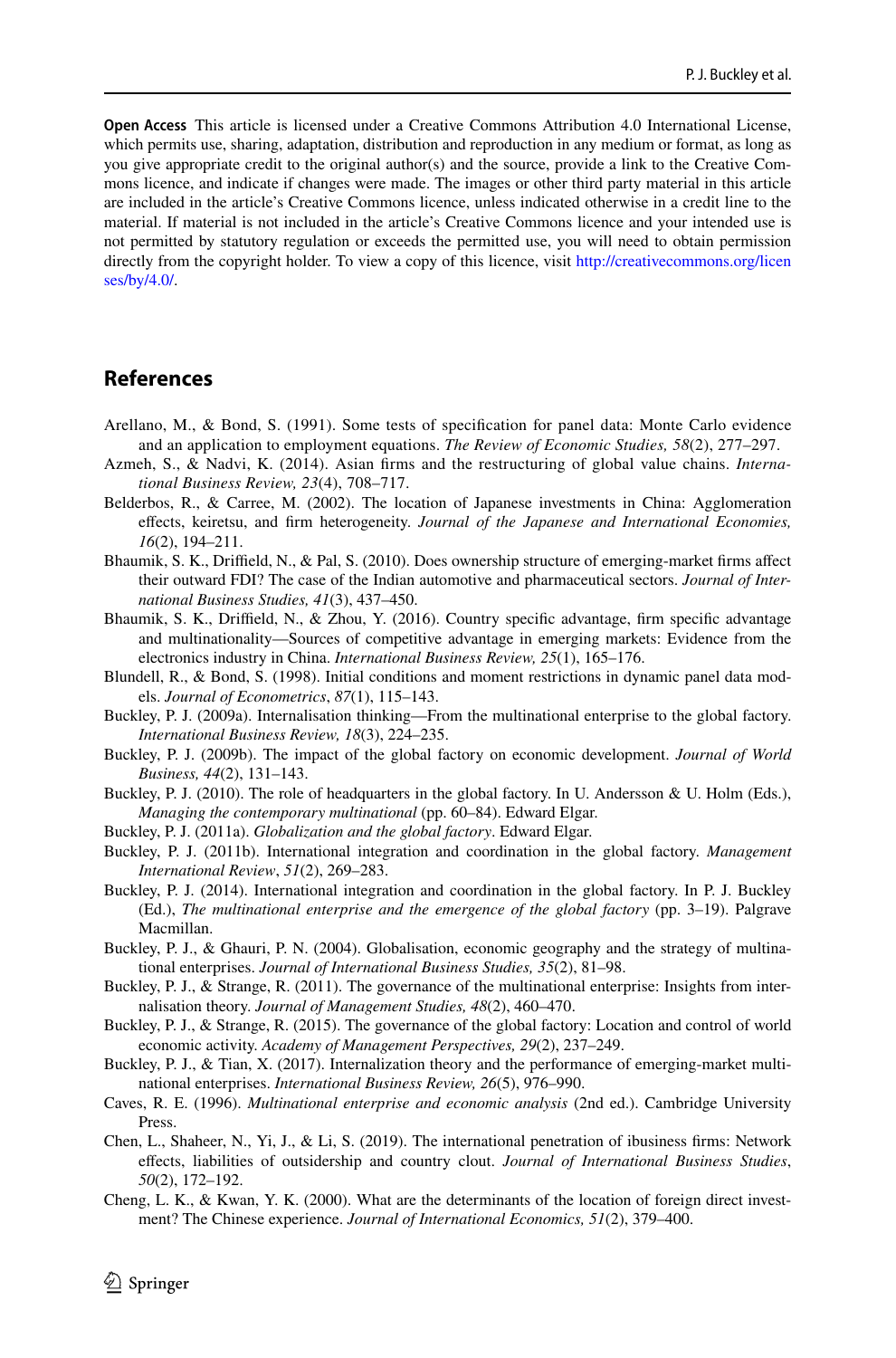**Open Access** This article is licensed under a Creative Commons Attribution 4.0 International License, which permits use, sharing, adaptation, distribution and reproduction in any medium or format, as long as you give appropriate credit to the original author(s) and the source, provide a link to the Creative Commons licence, and indicate if changes were made. The images or other third party material in this article are included in the article's Creative Commons licence, unless indicated otherwise in a credit line to the material. If material is not included in the article's Creative Commons licence and your intended use is not permitted by statutory regulation or exceeds the permitted use, you will need to obtain permission directly from the copyright holder. To view a copy of this licence, visit http://creativecommons.org/licen ses/by/4.0/.

## **References**

- Arellano, M., & Bond, S. (1991). Some tests of specifcation for panel data: Monte Carlo evidence and an application to employment equations. *The Review of Economic Studies, 58*(2), 277–297.
- Azmeh, S., & Nadvi, K. (2014). Asian frms and the restructuring of global value chains. *International Business Review, 23*(4), 708–717.
- Belderbos, R., & Carree, M. (2002). The location of Japanese investments in China: Agglomeration efects, keiretsu, and frm heterogeneity. *Journal of the Japanese and International Economies, 16*(2), 194–211.
- Bhaumik, S. K., Drifeld, N., & Pal, S. (2010). Does ownership structure of emerging-market frms afect their outward FDI? The case of the Indian automotive and pharmaceutical sectors. *Journal of International Business Studies, 41*(3), 437–450.
- Bhaumik, S. K., Driffield, N., & Zhou, Y. (2016). Country specific advantage, firm specific advantage and multinationality—Sources of competitive advantage in emerging markets: Evidence from the electronics industry in China. *International Business Review, 25*(1), 165–176.
- Blundell, R., & Bond, S. (1998). Initial conditions and moment restrictions in dynamic panel data models. *Journal of Econometrics*, *87*(1), 115–143.
- Buckley, P. J. (2009a). Internalisation thinking—From the multinational enterprise to the global factory. *International Business Review, 18*(3), 224–235.
- Buckley, P. J. (2009b). The impact of the global factory on economic development. *Journal of World Business, 44*(2), 131–143.
- Buckley, P. J. (2010). The role of headquarters in the global factory. In U. Andersson & U. Holm (Eds.), *Managing the contemporary multinational* (pp. 60–84). Edward Elgar.
- Buckley, P. J. (2011a). *Globalization and the global factory*. Edward Elgar.
- Buckley, P. J. (2011b). International integration and coordination in the global factory. *Management International Review*, *51*(2), 269–283.
- Buckley, P. J. (2014). International integration and coordination in the global factory. In P. J. Buckley (Ed.), *The multinational enterprise and the emergence of the global factory* (pp. 3–19). Palgrave Macmillan.
- Buckley, P. J., & Ghauri, P. N. (2004). Globalisation, economic geography and the strategy of multinational enterprises. *Journal of International Business Studies, 35*(2), 81–98.
- Buckley, P. J., & Strange, R. (2011). The governance of the multinational enterprise: Insights from internalisation theory. *Journal of Management Studies, 48*(2), 460–470.
- Buckley, P. J., & Strange, R. (2015). The governance of the global factory: Location and control of world economic activity. *Academy of Management Perspectives, 29*(2), 237–249.
- Buckley, P. J., & Tian, X. (2017). Internalization theory and the performance of emerging-market multinational enterprises. *International Business Review, 26*(5), 976–990.
- Caves, R. E. (1996). *Multinational enterprise and economic analysis* (2nd ed.). Cambridge University Press.
- Chen, L., Shaheer, N., Yi, J., & Li, S. (2019). The international penetration of ibusiness frms: Network efects, liabilities of outsidership and country clout. *Journal of International Business Studies*, *50*(2), 172–192.
- Cheng, L. K., & Kwan, Y. K. (2000). What are the determinants of the location of foreign direct investment? The Chinese experience. *Journal of International Economics, 51*(2), 379–400.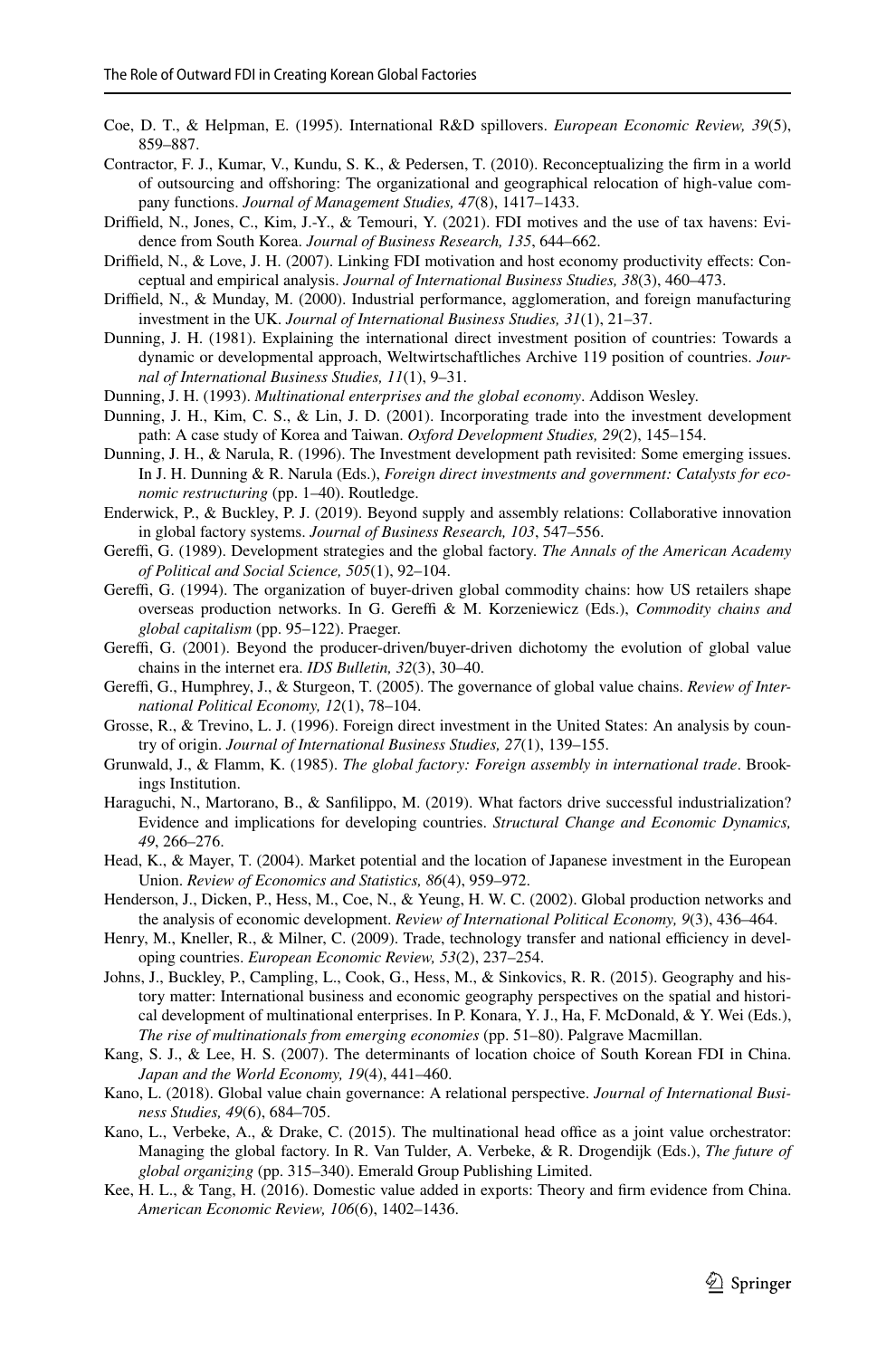- Coe, D. T., & Helpman, E. (1995). International R&D spillovers. *European Economic Review, 39*(5), 859–887.
- Contractor, F. J., Kumar, V., Kundu, S. K., & Pedersen, T. (2010). Reconceptualizing the frm in a world of outsourcing and ofshoring: The organizational and geographical relocation of high-value com‑ pany functions. *Journal of Management Studies, 47*(8), 1417–1433.
- Driffield, N., Jones, C., Kim, J.-Y., & Temouri, Y. (2021). FDI motives and the use of tax havens: Evidence from South Korea. *Journal of Business Research, 135*, 644–662.
- Driffield, N., & Love, J. H. (2007). Linking FDI motivation and host economy productivity effects: Conceptual and empirical analysis. *Journal of International Business Studies, 38*(3), 460–473.
- Drifeld, N., & Munday, M. (2000). Industrial performance, agglomeration, and foreign manufacturing investment in the UK. *Journal of International Business Studies, 31*(1), 21–37.
- Dunning, J. H. (1981). Explaining the international direct investment position of countries: Towards a dynamic or developmental approach, Weltwirtschaftliches Archive 119 position of countries. *Journal of International Business Studies, 11*(1), 9–31.
- Dunning, J. H. (1993). *Multinational enterprises and the global economy*. Addison Wesley.
- Dunning, J. H., Kim, C. S., & Lin, J. D. (2001). Incorporating trade into the investment development path: A case study of Korea and Taiwan. *Oxford Development Studies, 29*(2), 145–154.
- Dunning, J. H., & Narula, R. (1996). The Investment development path revisited: Some emerging issues. In J. H. Dunning & R. Narula (Eds.), *Foreign direct investments and government: Catalysts for economic restructuring* (pp. 1–40). Routledge.
- Enderwick, P., & Buckley, P. J. (2019). Beyond supply and assembly relations: Collaborative innovation in global factory systems. *Journal of Business Research, 103*, 547–556.
- Gereffi, G. (1989). Development strategies and the global factory. *The Annals of the American Academy of Political and Social Science, 505*(1), 92–104.
- Gereffi, G. (1994). The organization of buyer-driven global commodity chains: how US retailers shape overseas production networks. In G. Gereffi & M. Korzeniewicz (Eds.), *Commodity chains and global capitalism* (pp. 95–122). Praeger.
- Gereffi, G. (2001). Beyond the producer-driven/buyer-driven dichotomy the evolution of global value chains in the internet era. *IDS Bulletin, 32*(3), 30–40.
- Gereffi, G., Humphrey, J., & Sturgeon, T. (2005). The governance of global value chains. *Review of International Political Economy, 12*(1), 78–104.
- Grosse, R., & Trevino, L. J. (1996). Foreign direct investment in the United States: An analysis by country of origin. *Journal of International Business Studies, 27*(1), 139–155.
- Grunwald, J., & Flamm, K. (1985). *The global factory: Foreign assembly in international trade*. Brook‑ ings Institution.
- Haraguchi, N., Martorano, B., & Sanflippo, M. (2019). What factors drive successful industrialization? Evidence and implications for developing countries. *Structural Change and Economic Dynamics, 49*, 266–276.
- Head, K., & Mayer, T. (2004). Market potential and the location of Japanese investment in the European Union. *Review of Economics and Statistics, 86*(4), 959–972.
- Henderson, J., Dicken, P., Hess, M., Coe, N., & Yeung, H. W. C. (2002). Global production networks and the analysis of economic development. *Review of International Political Economy, 9*(3), 436–464.
- Henry, M., Kneller, R., & Milner, C. (2009). Trade, technology transfer and national efficiency in developing countries. *European Economic Review, 53*(2), 237–254.
- Johns, J., Buckley, P., Campling, L., Cook, G., Hess, M., & Sinkovics, R. R. (2015). Geography and his‑ tory matter: International business and economic geography perspectives on the spatial and historical development of multinational enterprises. In P. Konara, Y. J., Ha, F. McDonald, & Y. Wei (Eds.), *The rise of multinationals from emerging economies* (pp. 51–80). Palgrave Macmillan.
- Kang, S. J., & Lee, H. S. (2007). The determinants of location choice of South Korean FDI in China. *Japan and the World Economy, 19*(4), 441–460.
- Kano, L. (2018). Global value chain governance: A relational perspective. *Journal of International Business Studies, 49*(6), 684–705.
- Kano, L., Verbeke, A., & Drake, C. (2015). The multinational head office as a joint value orchestrator: Managing the global factory. In R. Van Tulder, A. Verbeke, & R. Drogendijk (Eds.), *The future of global organizing* (pp. 315–340). Emerald Group Publishing Limited.
- Kee, H. L., & Tang, H. (2016). Domestic value added in exports: Theory and frm evidence from China. *American Economic Review, 106*(6), 1402–1436.